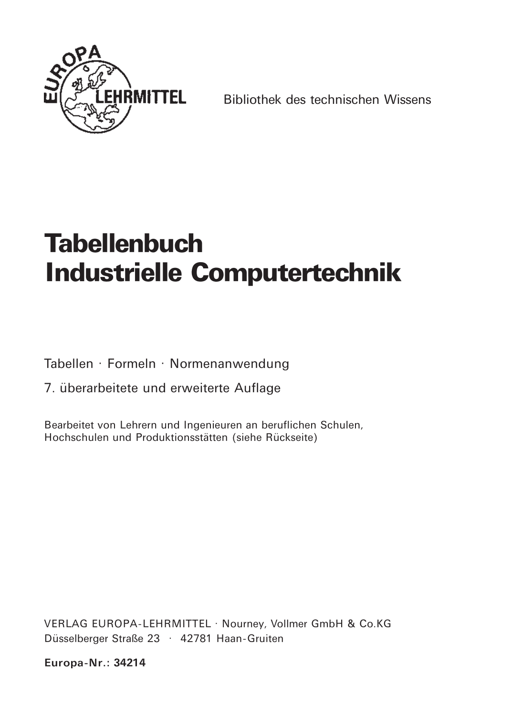

Bibliothek des technischen Wissens

# **Tabellenbuch Industrielle Computertechnik**

Tabellen · Formeln · Normenanwendung

7. überarbeitete und erweiterte Auflage

Bearbeitet von Lehrern und Ingenieuren an beruflichen Schulen, Hochschulen und Produktionsstätten (siehe Rückseite)

VERLAG EUROPA-LEHRMITTEL · Nourney, Vollmer GmbH & Co.KG Düsselberger Straße 23 · 42781 Haan-Gruiten

Europa-Nr.: 34214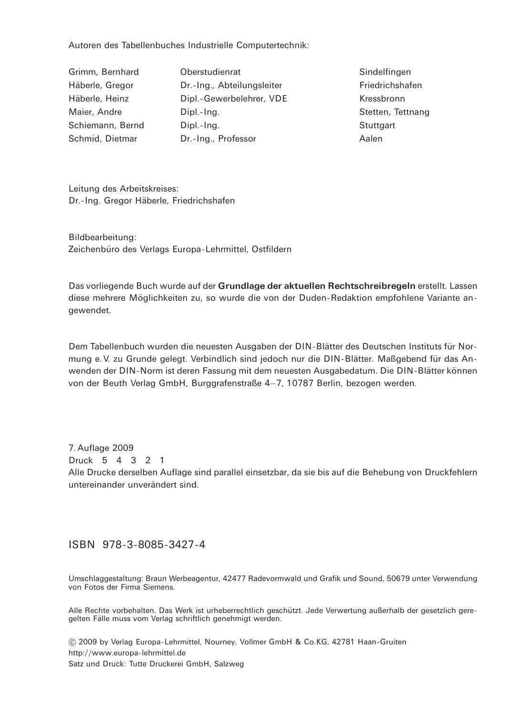Autoren des Tabellenbuches Industrielle Computertechnik:

| Grimm, Bernhard  | Oberstudienrat             | Sindelfingen      |
|------------------|----------------------------|-------------------|
| Häberle, Gregor  | Dr.-Ing., Abteilungsleiter | Friedrichshafen   |
| Häberle, Heinz   | Dipl.-Gewerbelehrer, VDE   | Kressbronn        |
| Maier, Andre     | Dipl.-Ing.                 | Stetten, Tettnang |
| Schiemann, Bernd | Dipl.-Ing.                 | Stuttgart         |
| Schmid, Dietmar  | Dr.-Ing., Professor        | Aalen             |
|                  |                            |                   |

Leitung des Arbeitskreises: Dr.-Ing. Gregor Häberle, Friedrichshafen

Bildbearbeitung: Zeichenbüro des Verlags Europa-Lehrmittel, Ostfildern

Das vorliegende Buch wurde auf der Grundlage der aktuellen Rechtschreibregeln erstellt. Lassen diese mehrere Möglichkeiten zu, so wurde die von der Duden-Redaktion empfohlene Variante angewendet.

Dem Tabellenbuch wurden die neuesten Ausgaben der DIN-Blätter des Deutschen Instituts für Normung e. V. zu Grunde gelegt. Verbindlich sind jedoch nur die DIN-Blätter. Maßgebend für das Anwenden der DIN-Norm ist deren Fassung mit dem neuesten Ausgabedatum. Die DIN-Blätter können von der Beuth Verlag GmbH, Burggrafenstraße 4-7, 10787 Berlin, bezogen werden.

7. Auflage 2009 Druck 5 4 3 2 1 Alle Drucke derselben Auflage sind parallel einsetzbar, da sie bis auf die Behebung von Druckfehlern untereinander unverändert sind

#### ISBN 978-3-8085-3427-4

Umschlaggestaltung: Braun Werbeagentur, 42477 Radevormwald und Grafik und Sound, 50679 unter Verwendung von Fotos der Firma Siemens.

Alle Rechte vorbehalten. Das Werk ist urheberrechtlich geschützt. Jede Verwertung außerhalb der gesetzlich geregelten Fälle muss vom Verlag schriftlich genehmigt werden.

C 2009 by Verlag Europa-Lehrmittel, Nourney, Vollmer GmbH & Co.KG, 42781 Haan-Gruiten http://www.europa-lehrmittel.de Satz und Druck: Tutte Druckerei GmbH, Salzweg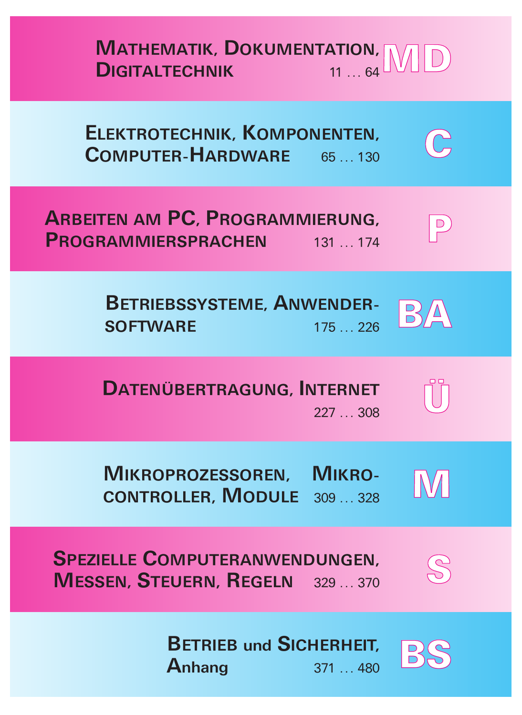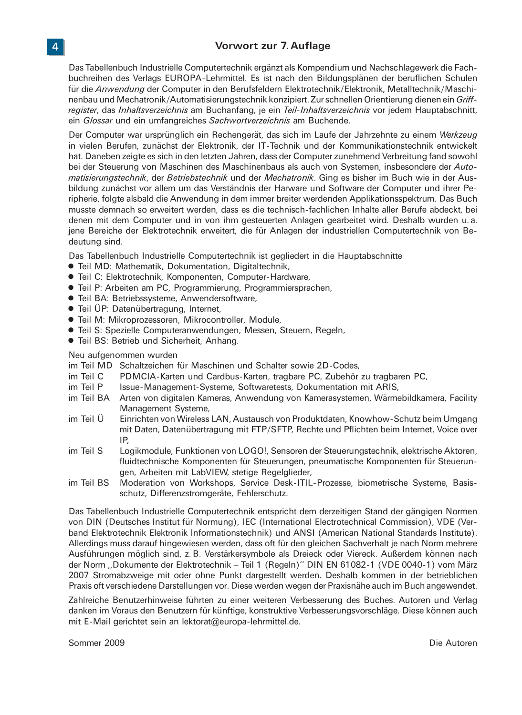### Vorwort zur 7. Auflage

Das Tabellenbuch Industrielle Computertechnik ergänzt als Kompendium und Nachschlagewerk die Fachbuchreihen des Verlags EUROPA-Lehrmittel. Es ist nach den Bildungsplänen der beruflichen Schulen für die Anwendung der Computer in den Berufsfeldern Elektrotechnik/Elektronik, Metalltechnik/Maschinenbau und Mechatronik/Automatisierungstechnik konzipiert. Zur schnellen Orientierung dienen ein Griffregister, das Inhaltsverzeichnis am Buchanfang, je ein Teil-Inhaltsverzeichnis vor jedem Hauptabschnitt. ein Glossar und ein umfangreiches Sachwortverzeichnis am Buchende.

Der Computer war ursprünglich ein Rechengerät, das sich im Laufe der Jahrzehnte zu einem Werkzeug in vielen Berufen, zunächst der Elektronik, der IT-Technik und der Kommunikationstechnik entwickelt hat. Daneben zeigte es sich in den letzten Jahren, dass der Computer zunehmend Verbreitung fand sowohl bei der Steuerung von Maschinen des Maschinenbaus als auch von Systemen, insbesondere der Automatisierungstechnik, der Betriebstechnik und der Mechatronik. Ging es bisher im Buch wie in der Ausbildung zunächst vor allem um das Verständnis der Harware und Software der Computer und ihrer Peripherie, folgte alsbald die Anwendung in dem immer breiter werdenden Applikationsspektrum. Das Buch musste demnach so erweitert werden, dass es die technisch-fachlichen Inhalte aller Berufe abdeckt, bei denen mit dem Computer und in von ihm gesteuerten Anlagen gearbeitet wird. Deshalb wurden u. a. jene Bereiche der Elektrotechnik erweitert, die für Anlagen der industriellen Computertechnik von Bedeutung sind.

Das Tabellenbuch Industrielle Computertechnik ist gegliedert in die Hauptabschnitte

- · Teil MD: Mathematik, Dokumentation, Digitaltechnik,
- · Teil C: Elektrotechnik, Komponenten, Computer-Hardware,
- Teil P: Arbeiten am PC, Programmierung, Programmiersprachen,
- · Teil BA: Betriebssysteme, Anwendersoftware,
- Teil ÜP: Datenübertragung, Internet,
- · Teil M: Mikroprozessoren, Mikrocontroller, Module,
- Teil S: Spezielle Computeranwendungen, Messen, Steuern, Regeln,
- Teil BS: Betrieb und Sicherheit. Anhang.

#### Neu aufgenommen wurden

- im Teil MD Schaltzeichen für Maschinen und Schalter sowie 2D-Codes.
- im Teil C PDMCIA-Karten und Cardbus-Karten, tragbare PC, Zubehör zu tragbaren PC,
- im Teil P Issue-Management-Systeme, Softwaretests, Dokumentation mit ARIS,
- im Teil BA Arten von digitalen Kameras, Anwendung von Kamerasystemen, Wärmebildkamera, Facility Management Systeme,
- im Teil Ü Einrichten von Wireless LAN, Austausch von Produktdaten, Knowhow-Schutz beim Umgang mit Daten, Datenübertragung mit FTP/SFTP, Rechte und Pflichten beim Internet, Voice over IP
- im Teil S Logikmodule, Funktionen von LOGO!, Sensoren der Steuerungstechnik, elektrische Aktoren, fluidtechnische Komponenten für Steuerungen, pneumatische Komponenten für Steuerungen, Arbeiten mit LabVIEW, stetige Regelglieder,
- im Teil BS Moderation von Workshops, Service Desk-ITIL-Prozesse, biometrische Systeme, Basisschutz, Differenzstromgeräte, Fehlerschutz.

Das Tabellenbuch Industrielle Computertechnik entspricht dem derzeitigen Stand der gängigen Normen von DIN (Deutsches Institut für Normung), IEC (International Electrotechnical Commission), VDE (Verband Elektrotechnik Elektronik Informationstechnik) und ANSI (American National Standards Institute). Allerdings muss darauf hingewiesen werden, dass oft für den gleichen Sachverhalt je nach Norm mehrere Ausführungen möglich sind, z. B. Verstärkersymbole als Dreieck oder Viereck. Außerdem können nach der Norm "Dokumente der Elektrotechnik - Teil 1 (Regeln)" DIN EN 61082-1 (VDE 0040-1) vom März 2007 Stromabzweige mit oder ohne Punkt dargestellt werden. Deshalb kommen in der betrieblichen Praxis oft verschiedene Darstellungen vor. Diese werden wegen der Praxisnähe auch im Buch angewendet.

Zahlreiche Benutzerhinweise führten zu einer weiteren Verbesserung des Buches. Autoren und Verlag danken im Voraus den Benutzern für künftige, konstruktive Verbesserungsvorschläge. Diese können auch mit E-Mail gerichtet sein an lektorat@europa-lehrmittel.de.

## $\overline{4}$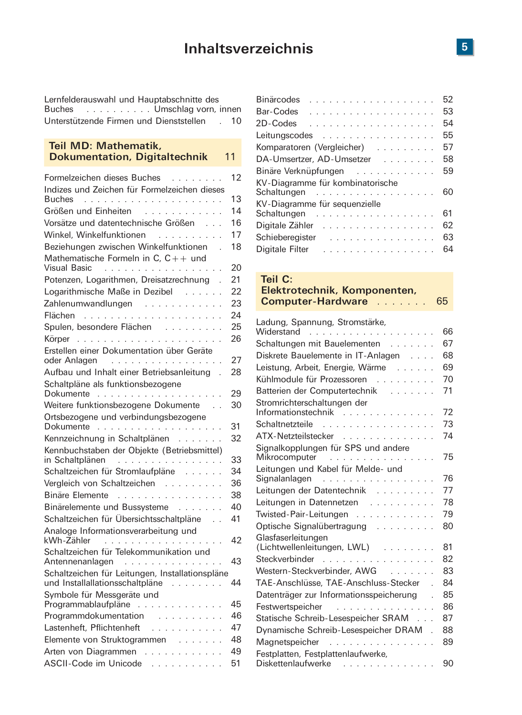Lernfelderauswahl und Hauptabschnitte des Buches . . . . . . . . . . Umschlag vorn, innen Unterstützende Firmen und Dienststellen . 10

#### Teil MD: Mathematik, **Dokumentation, Digitaltechnik**  $11$

| Formelzeichen dieses Buches                                                        | 12 |
|------------------------------------------------------------------------------------|----|
| Indizes und Zeichen für Formelzeichen dieses                                       |    |
| <b>Buches</b>                                                                      | 13 |
| Größen und Einheiten                                                               | 14 |
| Vorsätze und datentechnische Größen                                                | 16 |
| Winkel, Winkelfunktionen                                                           | 17 |
| Beziehungen zwischen Winkelfunktionen<br>$\overline{\phantom{a}}$                  | 18 |
| Mathematische Formeln in C. $C_{++}$ und<br>Visual Basic                           | 20 |
| Potenzen, Logarithmen, Dreisatzrechnung                                            | 21 |
| Logarithmische Maße in Dezibel                                                     | 22 |
| Zahlenumwandlungen                                                                 | 23 |
|                                                                                    | 24 |
| Spulen, besondere Flächen                                                          | 25 |
|                                                                                    | 26 |
| Erstellen einer Dokumentation über Geräte                                          |    |
| oder Anlagen                                                                       | 27 |
| Aufbau und Inhalt einer Betriebsanleitung<br>$\overline{a}$                        | 28 |
| Schaltpläne als funktionsbezogene<br>Dokumente                                     | 29 |
| Weitere funktionsbezogene Dokumente                                                | 30 |
| Ortsbezogene und verbindungsbezogene                                               |    |
|                                                                                    | 31 |
| Kennzeichnung in Schaltplänen                                                      | 32 |
| Kennbuchstaben der Objekte (Betriebsmittel)<br>in Schaltplänen                     | 33 |
| Schaltzeichen für Stromlaufpläne                                                   | 34 |
| Vergleich von Schaltzeichen                                                        | 36 |
| Binäre Elemente                                                                    | 38 |
| Binärelemente und Bussysteme                                                       | 40 |
| Schaltzeichen für Übersichtsschaltpläne                                            | 41 |
| Analoge Informationsverarbeitung und                                               |    |
| kWh-Zähler                                                                         | 42 |
| Schaltzeichen für Telekommunikation und<br>Antennenanlagen                         | 43 |
| Schaltzeichen für Leitungen, Installationspläne<br>und Installallationsschaltpläne | 44 |
| Symbole für Messgeräte und                                                         |    |
| Programmablaufpläne                                                                | 45 |
| Programmdokumentation                                                              | 46 |
| Lastenheft, Pflichtenheft<br>a a la larg                                           | 47 |
| Elemente von Struktogrammen                                                        | 48 |
| Arten von Diagrammen<br>and a construction of the                                  | 49 |
| <b>ASCII-Code im Unicode</b><br>the state of the state of the                      | 51 |

| <b>Binärcodes</b><br>.                          | 52 |
|-------------------------------------------------|----|
| .<br>Bar-Codes                                  | 53 |
| 2D-Codes<br>.                                   | 54 |
| Leitungscodes                                   | 55 |
| Komparatoren (Vergleicher)                      | 57 |
| DA-Umsertzer, AD-Umsetzer                       | 58 |
| Binäre Verknüpfungen                            | 59 |
| KV-Diagramme für kombinatorische<br>Schaltungen | 60 |
| KV-Diagramme für sequenzielle                   |    |
|                                                 | 61 |
| Digitale Zähler                                 | 62 |
| Schieberegister                                 | 63 |
| Digitale Filter                                 | 64 |

## Teil C:

| Elektrotechnik, Komponenten, |    |
|------------------------------|----|
| <b>Computer-Hardware</b>     | 65 |

| Ladung, Spannung, Stromstärke,                     |    |
|----------------------------------------------------|----|
| Widerstand<br>.                                    | 66 |
| Schaltungen mit Bauelementen                       | 67 |
| Diskrete Bauelemente in IT-Anlagen                 | 68 |
| Leistung, Arbeit, Energie, Wärme                   | 69 |
| Kühlmodule für Prozessoren                         | 70 |
| Batterien der Computertechnik                      | 71 |
| Stromrichterschaltungen der<br>Informationstechnik | 72 |
| Schaltnetzteile                                    | 73 |
| ATX-Netzteilstecker                                | 74 |
| Signalkopplungen für SPS und andere                |    |
| Mikrocomputer                                      | 75 |
| Leitungen und Kabel für Melde- und                 |    |
| Signalanlagen<br>.                                 | 76 |
| Leitungen der Datentechnik                         | 77 |
| Leitungen in Datennetzen                           | 78 |
| Twisted-Pair-Leitungen                             | 79 |
| Optische Signalübertragung                         | 8C |
| Glasfaserleitungen                                 |    |
| (Lichtwellenleitungen, LWL)                        | 81 |
| Steckverbinder                                     | 82 |
| Western-Steckverbinder, AWG                        | 83 |
| TAE-Anschlüsse, TAE-Anschluss-Stecker              | 84 |
| Datenträger zur Informationsspeicherung            | 85 |
| Festwertspeicher                                   | 86 |
| Statische Schreib-Lesespeicher SRAM                | 87 |
| Dynamische Schreib-Lesespeicher DRAM.              | 88 |
| Magnetspeicher                                     | 89 |
| Festplatten, Festplattenlaufwerke,                 |    |
| Diskettenlaufwerke                                 | 9C |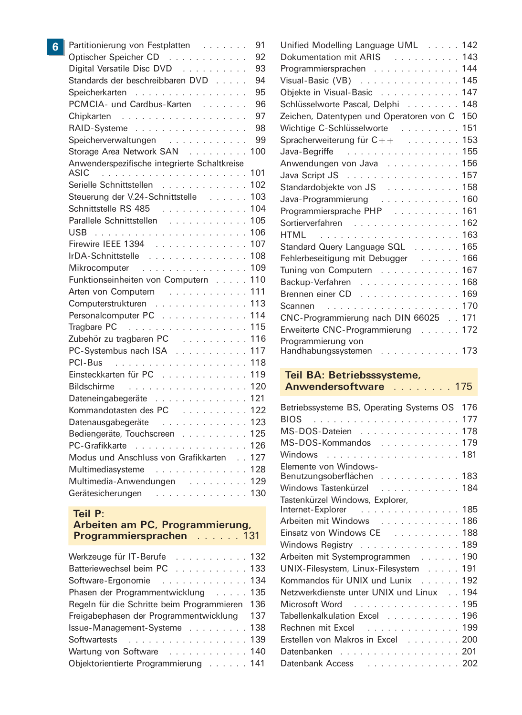| 6 | Partitionierung von Festplatten              | 91  |
|---|----------------------------------------------|-----|
|   | Optischer Speicher CD                        | 92  |
|   | Digital Versatile Disc DVD                   | 93  |
|   | Standards der beschreibbaren DVD             | 94  |
|   | Speicherkarten                               | 95  |
|   | PCMCIA- und Cardbus-Karten                   | 96  |
|   |                                              | 97  |
|   | RAID-Systeme                                 | 98  |
|   | Speicherverwaltungen                         | 99  |
|   | Storage Area Network SAN                     | 100 |
|   | Anwenderspezifische integrierte Schaltkreise |     |
|   | ASIC                                         | 101 |
|   | Serielle Schnittstellen                      | 102 |
|   | Steuerung der V.24-Schnittstelle             | 103 |
|   | Schnittstelle RS 485                         | 104 |
|   | Parallele Schnittstellen                     | 105 |
|   | USB                                          | 106 |
|   | Firewire IEEE 1394                           | 107 |
|   | IrDA-Schnittstelle                           | 108 |
|   | Mikrocomputer                                | 109 |
|   | Funktionseinheiten von Computern             | 110 |
|   | Arten von Computern                          | 111 |
|   | Computerstrukturen                           | 113 |
|   | Personalcomputer PC                          | 114 |
|   | Tragbare PC                                  | 115 |
|   | Zubehör zu tragbaren PC                      | 116 |
|   | PC-Systembus nach ISA                        | 117 |
|   | PCI-Bus                                      | 118 |
|   | Einsteckkarten für PC                        | 119 |
|   | <b>Bildschirme</b>                           | 120 |
|   | Dateneingabegeräte                           | 121 |
|   | Kommandotasten des PC                        | 122 |
|   | Datenausgabegeräte                           | 123 |
|   | Bediengeräte, Touchscreen                    | 125 |
|   | PC-Grafikkarte                               | 126 |
|   | Modus und Anschluss von Grafikkarten         | 127 |
|   | Multimediasysteme                            | 128 |
|   | Multimedia-Anwendungen 129                   |     |
|   | Gerätesicherungen                            | 130 |

### Teil P:

## Arbeiten am PC, Programmierung,<br>Programmiersprachen

| Werkzeuge für IT-Berufe 132                    |  |
|------------------------------------------------|--|
| Batteriewechsel beim PC 133                    |  |
| Software-Ergonomie 134                         |  |
| Phasen der Programmentwicklung 135             |  |
| Regeln für die Schritte beim Programmieren 136 |  |
| Freigabephasen der Programmentwicklung 137     |  |
| Issue-Management-Systeme 138                   |  |
| Softwartests 139                               |  |
| Wartung von Software 140                       |  |
| Objektorientierte Programmierung 141           |  |

| Unified Modelling Language UML 142              |  |
|-------------------------------------------------|--|
| Dokumentation mit ARIS<br>143                   |  |
| 144<br>Programmiersprachen                      |  |
| Visual-Basic (VB)<br>145                        |  |
| Objekte in Visual-Basic<br>147                  |  |
| 148<br>Schlüsselworte Pascal, Delphi            |  |
| Zeichen, Datentypen und Operatoren von C<br>150 |  |
| Wichtige C-Schlüsselworte<br>151                |  |
| Spracherweiterung für $C++$<br>153              |  |
| Java-Begriffe<br>155                            |  |
| Anwendungen von Java<br>156                     |  |
| Java Script JS<br>157                           |  |
| Standardobjekte von JS 158                      |  |
| Java-Programmierung  160                        |  |
| Programmiersprache PHP<br>161                   |  |
| Sortierverfahren 162                            |  |
| 163                                             |  |
| Standard Query Language SQL 165                 |  |
| Fehlerbeseitigung mit Debugger<br>166           |  |
| Tuning von Computern<br>167                     |  |
| Backup-Verfahren 168                            |  |
| Brennen einer CD 169                            |  |
| 170<br>Scannen                                  |  |
| CNC-Programmierung nach DIN 66025 171           |  |
| Erweiterte CNC-Programmierung 172               |  |
| Programmierung von                              |  |
| Handhabungssystemen 173                         |  |

## Teil BA: Betriebsssysteme, Anwendersoftware ......... 175

| Betriebssysteme BS, Operating Systems OS 176        |  |
|-----------------------------------------------------|--|
|                                                     |  |
| MS-DOS-Dateien 178                                  |  |
| MS-DOS-Kommandos 179                                |  |
|                                                     |  |
| Elemente von Windows-<br>Benutzungsoberflächen  183 |  |
| Windows Tastenkürzel  184                           |  |
| Tastenkürzel Windows, Explorer,                     |  |
| Internet-Explorer  185                              |  |
| Arbeiten mit Windows  186                           |  |
| Einsatz von Windows CE 188                          |  |
| Windows Registry 189                                |  |
| Arbeiten mit Systemprogrammen 190                   |  |
| UNIX-Filesystem, Linux-Filesystem 191               |  |
| Kommandos für UNIX und Lunix  192                   |  |
| Netzwerkdienste unter UNIX und Linux 194            |  |
| Microsoft Word 195                                  |  |
| Tabellenkalkulation Excel 196                       |  |
| Rechnen mit Excel 199                               |  |
| Erstellen von Makros in Excel 200                   |  |
| Datenbanken 201                                     |  |
| Datenbank Access 202                                |  |
|                                                     |  |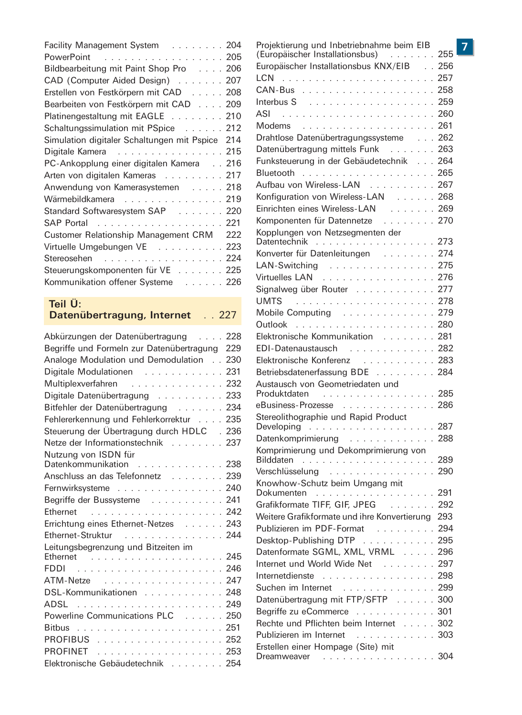| Facility Management System 204                  |     |
|-------------------------------------------------|-----|
| PowerPoint 205                                  |     |
| Bildbearbeitung mit Paint Shop Pro 206          |     |
| CAD (Computer Aided Design) 207                 |     |
| Erstellen von Festkörpern mit CAD 208           |     |
| Bearbeiten von Festkörpern mit CAD 209          |     |
| Platinengestaltung mit EAGLE 210                |     |
| Schaltungssimulation mit PSpice 212             |     |
| Simulation digitaler Schaltungen mit Pspice 214 |     |
| Digitale Kamera 215                             |     |
| PC-Ankopplung einer digitalen Kamera 216        |     |
| Arten von digitalen Kameras 217                 |     |
| Anwendung von Kamerasystemen 218                |     |
| Wärmebildkamera 219                             |     |
| Standard Softwaresystem SAP 220                 |     |
| SAP Portal 221                                  |     |
| Customer Relationship Management CRM            | 222 |
| Virtuelle Umgebungen VE 223                     |     |
| Stereosehen 224                                 |     |
| Steuerungskomponenten für VE 225                |     |
| Kommunikation offener Systeme 226               |     |

## Teil Ü: Datenübertragung, Internet . . 227

| Abkürzungen der Datenübertragung  228          |     |
|------------------------------------------------|-----|
| Begriffe und Formeln zur Datenübertragung      | 229 |
| Analoge Modulation und Demodulation            | 230 |
| Digitale Modulationen 231                      |     |
| Multiplexverfahren 232                         |     |
| Digitale Datenübertragung                      | 233 |
| Bitfehler der Datenübertragung 234             |     |
| Fehlererkennung und Fehlerkorrektur  235       |     |
| Steuerung der Übertragung durch HDLC . 236     |     |
| Netze der Informationstechnik 237              |     |
| Nutzung von ISDN für<br>Datenkommunikation 238 |     |
| Anschluss an das Telefonnetz 239               |     |
|                                                |     |
| Fernwirksysteme 240                            |     |
| Begriffe der Bussysteme 241                    |     |
| Ethernet                                       |     |
| Errichtung eines Ethernet-Netzes 243           |     |
| Ethernet-Struktur 244                          |     |
| Leitungsbegrenzung und Bitzeiten im            |     |
|                                                |     |
|                                                |     |
| ATM-Netze 247                                  |     |
| DSL-Kommunikationen 248                        |     |
|                                                |     |
| Powerline Communications PLC 250               |     |
|                                                |     |
| PROFIBUS 252                                   |     |
| PROFINET 253                                   |     |
| Elektronische Gebäudetechnik 254               |     |

| 1<br>5                                     | Projektierung und Inbetriebnahme beim EIB<br>(Europäischer Installationsbus) 255   |  |
|--------------------------------------------|------------------------------------------------------------------------------------|--|
| ŝ                                          | Europäischer Installationsbus KNX/EIB 256                                          |  |
| 7                                          |                                                                                    |  |
| $\overline{\mathbf{3}}$                    |                                                                                    |  |
| 3                                          |                                                                                    |  |
|                                            |                                                                                    |  |
| $\overline{\mathbf{C}}$                    |                                                                                    |  |
| $\overline{2}$                             | Drahtlose Datenübertragungssysteme 262                                             |  |
| $\overline{\mathbf{1}}$                    | Datenübertragung mittels Funk 263                                                  |  |
| 5                                          | Funksteuerung in der Gebäudetechnik  264                                           |  |
| ĉ                                          |                                                                                    |  |
| 7                                          | Aufbau von Wireless-LAN 267                                                        |  |
| 3                                          |                                                                                    |  |
| 3                                          | Konfiguration von Wireless-LAN 268                                                 |  |
| Ć                                          | Einrichten eines Wireless-LAN<br>Komponenten für Datennetze<br>Changer (Satennetze |  |
| I                                          |                                                                                    |  |
| $\overline{2}$                             | Kopplungen von Netzsegmenten der<br>Datentechnik                                   |  |
| $\overline{\mathbf{3}}$                    |                                                                                    |  |
| 1                                          | Konverter für Datenleitungen 274                                                   |  |
| 5                                          | LAN-Switching 275                                                                  |  |
| ີ່                                         | Virtuelles LAN 276                                                                 |  |
|                                            | Signalweg über Router 277                                                          |  |
|                                            |                                                                                    |  |
|                                            | Mobile Computing 279                                                               |  |
|                                            |                                                                                    |  |
|                                            | Elektronische Kommunikation  281                                                   |  |
| ϡ                                          | EDI-Datenaustausch 282                                                             |  |
| $\overline{\mathbf{C}}$                    | Elektronische Konferenz 283                                                        |  |
| Ī.                                         | Betriebsdatenerfassung BDE 284                                                     |  |
| $\overline{2}$                             | Austausch von Geometriedaten und                                                   |  |
| 3                                          | Produktdaten 285                                                                   |  |
| 1                                          | eBusiness-Prozesse 286                                                             |  |
| 5                                          | Stereolithographie und Rapid Product                                               |  |
| ŝ                                          |                                                                                    |  |
| 7                                          | Datenkomprimierung 288                                                             |  |
|                                            | Komprimierung und Dekomprimierung von<br>Bilddaten (1999)                          |  |
|                                            | Verschlüsselung  290                                                               |  |
| $\overline{3}$                             |                                                                                    |  |
| $\overline{)}$                             | Knowhow-Schutz beim Umgang mit<br>Dokumenten<br>                                   |  |
|                                            | Grafikformate TIFF, GIF, JPEG 292                                                  |  |
| $\overline{2}$                             | Weitere Grafikformate und ihre Konvertierung 293                                   |  |
| 3                                          | Publizieren im PDF-Format 294                                                      |  |
| 1                                          | Desktop-Publishing DTP 295                                                         |  |
|                                            | Datenformate SGML, XML, VRML 296                                                   |  |
| $\bar{5}$                                  | Internet und World Wide Net 297                                                    |  |
|                                            | Internetdienste 298                                                                |  |
|                                            |                                                                                    |  |
|                                            | Suchen im Internet 299                                                             |  |
| ら 7<br>3 9 0                               | Datenübertragung mit FTP/SFTP 300                                                  |  |
|                                            | Begriffe zu eCommerce 301                                                          |  |
| I                                          | Rechte und Pflichten beim Internet 302                                             |  |
| $\begin{array}{c} 2 \\ 3 \\ 4 \end{array}$ | Publizieren im Internet 303                                                        |  |
|                                            | Erstellen einer Hompage (Site) mit<br>Dreamweaver 304                              |  |
|                                            |                                                                                    |  |

 $\overline{7}$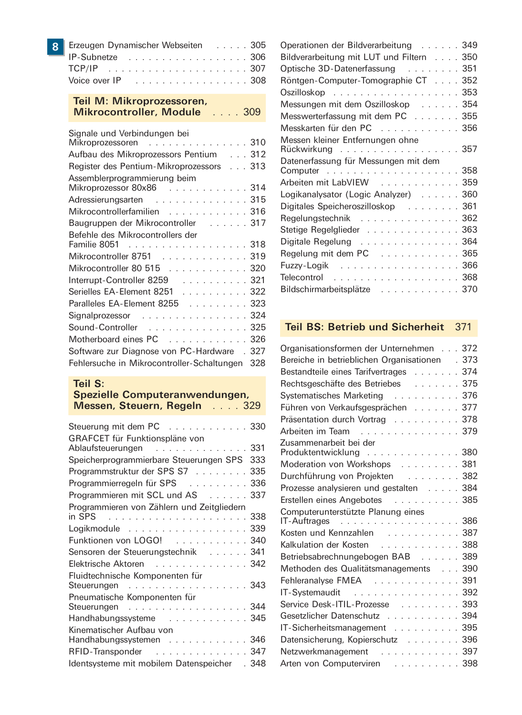| 8 Erzeugen Dynamischer Webseiten 305                              |
|-------------------------------------------------------------------|
| IP-Subnetze 306                                                   |
|                                                                   |
| Voice over $IP$ , $\ldots$ , $\ldots$ , $\ldots$ , $\ldots$ , 308 |

## Teil M: Mikroprozessoren, Mikrocontroller, Module .... 309

| Signale und Verbindungen bei                             |
|----------------------------------------------------------|
| Mikroprozessoren 310                                     |
| Aufbau des Mikroprozessors Pentium 312                   |
| Register des Pentium-Mikroprozessors 313                 |
| Assemblerprogrammierung beim<br>Mikroprozessor 80x86 314 |
| Adressierungsarten 315                                   |
| Mikrocontrollerfamilien 316                              |
| Baugruppen der Mikrocontroller 317                       |
| Befehle des Mikrocontrollers der<br>Familie 8051 318     |
| Mikrocontroller 8751 319                                 |
| Mikrocontroller 80 515 320                               |
| Interrupt-Controller 8259 321                            |
| Serielles EA-Element 8251 322                            |
| Paralleles EA-Element 8255 323                           |
| Signalprozessor 324                                      |
| Sound-Controller 325                                     |
| Motherboard eines PC 326                                 |
| Software zur Diagnose von PC-Hardware . 327              |
| Fehlersuche in Mikrocontroller-Schaltungen 328           |

| Teil S:<br>Spezielle Computeranwendungen,<br>Messen, Steuern, Regeln 329 |
|--------------------------------------------------------------------------|
| Steuerung mit dem PC 330                                                 |
| GRAFCET für Funktionspläne von<br>331<br>Ablaufsteuerungen               |
| Speicherprogrammierbare Steuerungen SPS<br>333                           |
| Programmstruktur der SPS S7<br>335                                       |
| Programmierregeln für SPS<br>336                                         |
| Programmieren mit SCL und AS 337                                         |
| Programmieren von Zählern und Zeitgliedern                               |
| in SPS (and a series are controlled as series and state of $338$         |
| Logikmodule 339                                                          |
| Funktionen von LOGO! 340                                                 |
| Sensoren der Steuerungstechnik  341                                      |
| Elektrische Aktoren 342                                                  |
| Fluidtechnische Komponenten für                                          |
| Steuerungen 343                                                          |
| Pneumatische Komponenten für                                             |
| . 344<br>Steuerungen                                                     |
| Handhabungssysteme 345                                                   |
| Kinematischer Aufbau von<br>Handhabungssystemen 346                      |
| RFID-Transponder 347                                                     |
| Identsysteme mit mobilem Datenspeicher<br>. 348                          |
|                                                                          |

| Operationen der Bildverarbeitung 349                |
|-----------------------------------------------------|
| Bildverarbeitung mit LUT und Filtern 350            |
| Optische 3D-Datenerfassung 351                      |
| Röntgen-Computer-Tomographie CT 352                 |
| Oszilloskop 353                                     |
| Messungen mit dem Oszilloskop 354                   |
| Messwerterfassung mit dem PC 355                    |
| Messkarten für den PC 356                           |
| Messen kleiner Entfernungen ohne<br>Rückwirkung 357 |
| Datenerfassung für Messungen mit dem                |
| Arbeiten mit LabVIEW 359                            |
| Logikanalysator (Logic Analyzer) 360                |
| Digitales Speicheroszilloskop  361                  |
| Regelungstechnik 362                                |
| Stetige Regelglieder 363                            |
| Digitale Regelung 364                               |
| Regelung mit dem PC 365                             |
| Fuzzy-Logik 366                                     |
| Telecontrol 368                                     |
| Bildschirmarbeitsplätze 370                         |

## Teil BS: Betrieb und Sicherheit 371

| Organisationsformen der Unternehmen 372            |
|----------------------------------------------------|
| Bereiche in betrieblichen Organisationen<br>.373   |
| 374<br>Bestandteile eines Tarifvertrages           |
| Rechtsgeschäfte des Betriebes 375                  |
| Systematisches Marketing 376                       |
| Führen von Verkaufsgesprächen 377                  |
| Präsentation durch Vortrag<br>378                  |
| 379<br>Arbeiten im Team                            |
| Zusammenarbeit bei der                             |
| Produktentwicklung 380                             |
| Moderation von Workshops<br>381                    |
| Durchführung von Projekten 382                     |
| Prozesse analysieren und gestalten 384             |
| Erstellen eines Angebotes 385                      |
| Computerunterstützte Planung eines                 |
| . <b>386</b><br>IT-Auftrages                       |
| Kosten und Kennzahlen 387                          |
| Kalkulation der Kosten<br>388                      |
| Betriebsabrechnungebogen BAB 389                   |
| 390<br>Methoden des Qualitätsmanagements           |
| 391<br>Fehleranalyse FMEA                          |
| IT-Systemaudit<br>392                              |
| 393<br>Service Desk-ITIL-Prozesse                  |
| 394<br>Gesetzlicher Datenschutz                    |
| 395<br>IT-Sicherheitsmanagement                    |
| 396<br>Datensicherung, Kopierschutz                |
| Netzwerkmanagement 397                             |
| 398<br>Arten von Computerviren<br>المتحدث والمتحدث |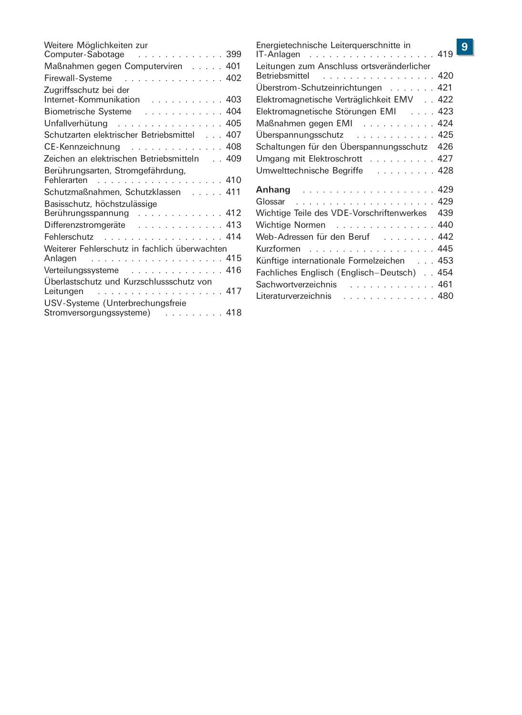| Weitere Möglichkeiten zur                                                                          |  |
|----------------------------------------------------------------------------------------------------|--|
| Computer-Sabotage 399                                                                              |  |
| Maßnahmen gegen Computerviren 401                                                                  |  |
| Firewall-Systeme 402                                                                               |  |
| Zugriffsschutz bei der<br>Internet-Kommunikation  403                                              |  |
| Biometrische Systeme 404                                                                           |  |
| Unfallverhütung 405                                                                                |  |
| Schutzarten elektrischer Betriebsmittel 407                                                        |  |
| $CE$ -Kennzeichnung  408                                                                           |  |
| Zeichen an elektrischen Betriebsmitteln 409                                                        |  |
| Berührungsarten, Stromgefährdung,<br>Fehlerarten                                                   |  |
| Schutzmaßnahmen, Schutzklassen 411                                                                 |  |
| Basisschutz, höchstzulässige                                                                       |  |
| Berührungsspannung 412                                                                             |  |
| Differenzstromgeräte 413                                                                           |  |
| Fehlerschutz 414                                                                                   |  |
| Weiterer Fehlerschutz in fachlich überwachten                                                      |  |
| Anlagen                                                                                            |  |
| Verteilungssysteme 416                                                                             |  |
| Überlastschutz und Kurzschlussschutz von<br>. 417<br>Leitungen<br>USV-Systeme (Unterbrechungsfreie |  |
| Stromversorgungssysteme) 418                                                                       |  |

| Energietechnische Leiterguerschnitte in<br>IT-Anlagen $\ldots \ldots \ldots \ldots \ldots \ldots$ |     |
|---------------------------------------------------------------------------------------------------|-----|
| Leitungen zum Anschluss ortsveränderlicher<br>Betriebsmittel<br>. 420                             |     |
| Uberstrom-Schutzeinrichtungen 421                                                                 |     |
| Elektromagnetische Verträglichkeit EMV 422                                                        |     |
| Elektromagnetische Störungen EMI 423                                                              |     |
| Maßnahmen gegen EMI 424                                                                           |     |
| Uberspannungsschutz 425                                                                           |     |
| Schaltungen für den Überspannungsschutz                                                           | 426 |
| Umgang mit Elektroschrott 427                                                                     |     |
| Umwelttechnische Begriffe  428                                                                    |     |
|                                                                                                   |     |
| Glossar                                                                                           |     |
| Wichtige Teile des VDE-Vorschriftenwerkes                                                         | 439 |
| Wichtige Normen 440                                                                               |     |
| Web-Adressen für den Beruf 442                                                                    |     |
| Kurzformen 445                                                                                    |     |
| Künftige internationale Formelzeichen 453                                                         |     |
| Fachliches Englisch (Englisch-Deutsch) 454                                                        |     |
| Sachwortverzeichnis<br>. 461                                                                      |     |
| . 480<br>Literaturverzeichnis                                                                     |     |
|                                                                                                   |     |

## $\overline{9}$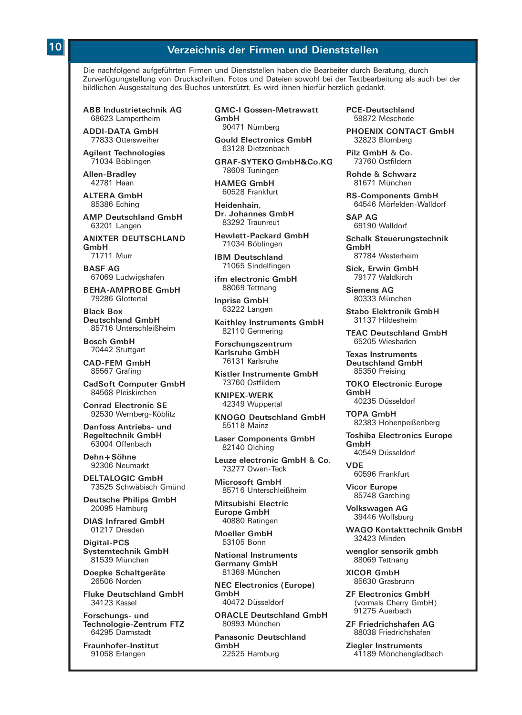## Verzeichnis der Firmen und Dienststellen

Die nachfolgend aufgeführten Firmen und Dienststellen haben die Bearbeiter durch Beratung, durch Zurverfügungstellung von Druckschriften. Fotos und Dateien sowohl bei der Textbearbeitung als auch bei der bildlichen Ausgestaltung des Buches unterstützt. Es wird ihnen hierfür herzlich gedankt.

**ABB Industrietechnik AG** 68623 Lampertheim

**ADDI-DATA GmbH** 77833 Ottersweiher

**Agilent Technologies** 71034 Böblingen

Allen-Bradley 42781 Haan

ALTERA GmbH 85386 Eching

**AMP Deutschland GmbH** 63201 Langen

**ANIXTER DEUTSCHLAND** GmhH 71711 Murr

**BASF AG** 67069 Ludwigshafen

**RFHA-AMPROBE GmbH** 79286 Glottertal

**Rlack Roy Deutschland GmbH** 85716 Unterschleißheim

**Bosch GmbH** 70442 Stuttgart

**CAD-FEM GmbH** 85567 Grafing

**CadSoft Computer GmbH** 84568 Pleiskirchen

**Conrad Electronic SF** 92530 Wernberg-Köblitz

Danfoss Antriebs- und **Regeltechnik GmbH** 63004 Offenbach

Dehn+Söhne 92306 Neumarkt

DELTALOGIC GmbH 73525 Schwäbisch Gmünd

**Deutsche Philips GmbH** 20095 Hamburg

**DIAS Infrared GmbH** 01217 Dresden

Digital-PCS Systemtechnik GmbH 81539 München

Doepke Schaltgeräte 26506 Norden

**Fluke Deutschland GmbH** 34123 Kassel

Forschungs- und Technologie-Zentrum FTZ 64295 Darmstadt

Fraunhofer-Institut 91058 Erlangen

**GMC-I Gossen-Metrawatt** GmbH 90471 Nürnberg

**Gould Electronics GmbH** 63128 Dietzenbach

GRAF-SYTEKO GmbH&Co.KG 78609 Tuningen

**HAMEG GmbH** 60528 Frankfurt

Heidenhain. Dr. Johannes GmbH 83292 Traunreut

**Hewlett-Packard GmbH** 71034 Böblingen

**IBM Deutschland** 71065 Sindelfingen

ifm electronic GmbH 88069 Tettnang

**Inprise GmbH** 63222 Langen

Keithley Instruments GmbH 82110 Germering

Forschungszentrum Karlsruhe GmbH 76131 Karlsruhe

Kistler Instrumente GmbH 73760 Ostfildern

**KNIPEX-WERK** 42349 Wuppertal

**KNOGO Deutschland GmbH** 55118 Mainz

**Laser Components GmbH** 82140 Olching

Leuze electronic GmbH & Co. 73277 Owen-Teck

**Microsoft GmbH** 85716 Unterschleißheim

Mitsubishi Electric **Europe GmbH** 40880 Ratingen

Moeller GmbH 53105 Bonn

**National Instruments** Germany GmbH 81369 München

**NEC Electronics (Europe)** GmbH 40472 Düsseldorf

**ORACLE Deutschland GmbH** 80993 München

**Panasonic Deutschland** GmbH 22525 Hamburg

**PCE-Deutschland** 59872 Meschede

PHOENIX CONTACT GmbH 32823 Blomberg

Pilz GmbH & Co. 73760 Ostfildern

Rohde & Schwarz 81671 München

**RS-Components GmbH** 64546 Mörfelden-Walldorf

**SAP AG** 69190 Walldorf

**Schalk Steuerungstechnik** GmhH 87784 Westerheim

Sick Frwin GmbH 79177 Waldkirch

 $Siamone \wedge C$ 80333 München

Stabo Flektronik CmbH 31137 Hildesheim

**TFAC Deutschland GmbH** 65205 Wieshaden

**Texas Instruments Deutschland GmbH** 85350 Freising

**TOKO Electronic Europe**  $GmhH$ 40235 Düsseldorf

**TOPA GmbH** 82383 Hohenneißenberg

**Toshiba Electronics Europe** GmbH 40549 Düsseldorf

**VDF** 60596 Frankfurt

**Vicor Europe** 85748 Garching

Volkswagen AG 39446 Wolfsburg

**WAGO Kontakttechnik GmbH** 32423 Minden

wenglor sensorik gmbh 88069 Tettnang

**XICOR GmbH** 85630 Grasbrunn

**ZF Electronics GmbH** (vormals Cherry GmbH) 91275 Auerbach

**ZF Friedrichshafen AG** 88038 Friedrichshafen

**Ziegler Instruments** 41189 Mönchengladbach

## 10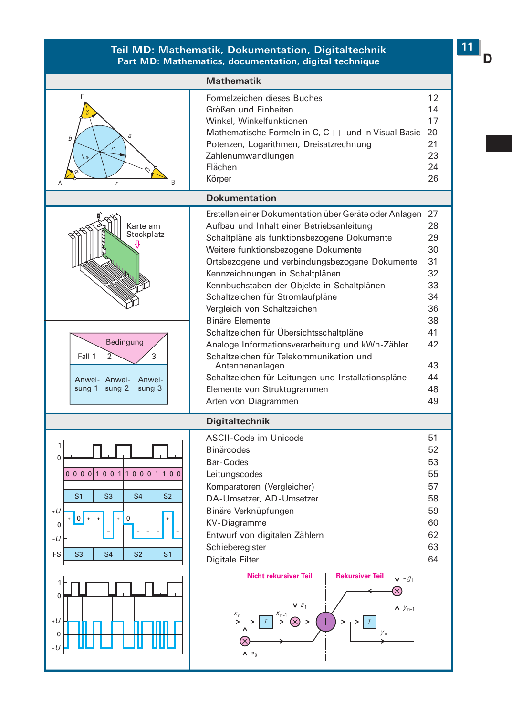#### Teil MD: Mathematik, Dokumentation, Digitaltechnik Part MD: Mathematics, documentation, digital technique



 $11$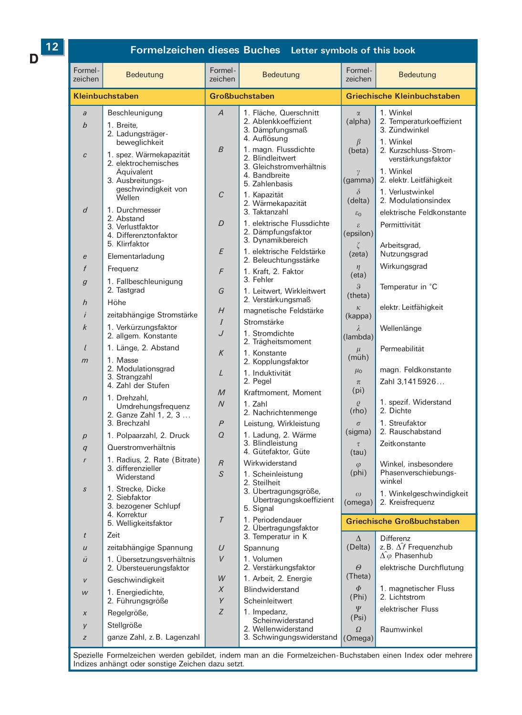$12$ 

D

## Formelzeichen dieses Buches Letter symbols of this book

| Formel-<br>zeichen       | <b>Bedeutung</b>                                                                                                   | Formel-<br>zeichen               | Bedeutung                                                                                                               | Formel-<br>zeichen                            | <b>Bedeutung</b>                                                                                         |
|--------------------------|--------------------------------------------------------------------------------------------------------------------|----------------------------------|-------------------------------------------------------------------------------------------------------------------------|-----------------------------------------------|----------------------------------------------------------------------------------------------------------|
|                          | <b>Kleinbuchstaben</b>                                                                                             | <b>Großbuchstaben</b>            |                                                                                                                         | <b>Griechische Kleinbuchstaben</b>            |                                                                                                          |
| $\partial$<br>$\it{b}$   | Beschleunigung<br>1. Breite,<br>2. Ladungsträger-<br>beweglichkeit                                                 | Α                                | 1. Fläche, Querschnitt<br>2. Ablenkkoeffizient<br>3. Dämpfungsmaß<br>4. Auflösung                                       | $\alpha$<br>(alpha)<br>$\beta$                | 1. Winkel<br>2. Temperaturkoeffizient<br>3. Zündwinkel<br>1. Winkel                                      |
| $\mathcal{C}$            | 1. spez. Wärmekapazität<br>2. elektrochemisches<br>Äquivalent<br>3. Ausbreitungs-<br>geschwindigkeit von<br>Wellen | B<br>C                           | 1. magn. Flussdichte<br>2. Blindleitwert<br>3. Gleichstromverhältnis<br>4. Bandbreite<br>5. Zahlenbasis<br>1. Kapazität | (beta)<br>$\gamma$<br>(gamma)<br>$\delta$     | 2. Kurzschluss-Strom-<br>verstärkungsfaktor<br>1. Winkel<br>2. elektr. Leitfähigkeit<br>1. Verlustwinkel |
| d                        | 1. Durchmesser<br>2. Abstand<br>3. Verlustfaktor<br>4. Differenztonfaktor<br>5. Klirrfaktor                        | D                                | 2. Wärmekapazität<br>3. Taktanzahl<br>1. elektrische Flussdichte<br>2. Dämpfungsfaktor<br>3. Dynamikbereich             | (delta)<br>$\varepsilon_0$<br>£.<br>(epsilon) | 2. Modulationsindex<br>elektrische Feldkonstante<br>Permittivität<br>Arbeitsgrad,                        |
| $\epsilon$               | Elementarladung                                                                                                    | Ε                                | 1. elektrische Feldstärke<br>2. Beleuchtungsstärke                                                                      | (zeta)                                        | Nutzungsgrad                                                                                             |
| f                        | Frequenz                                                                                                           | F                                | 1. Kraft, 2. Faktor                                                                                                     | $\eta$<br>(eta)                               | Wirkungsgrad                                                                                             |
| 9                        | 1. Fallbeschleunigung<br>2. Tastgrad                                                                               | G                                | 3. Fehler<br>1. Leitwert, Wirkleitwert<br>2. Verstärkungsmaß                                                            | $\boldsymbol{\vartheta}$<br>(theta)           | Temperatur in °C                                                                                         |
| h                        | Höhe<br>zeitabhängige Stromstärke                                                                                  | H                                | magnetische Feldstärke                                                                                                  | $\kappa$                                      | elektr. Leitfähigkeit                                                                                    |
| k                        | 1. Verkürzungsfaktor                                                                                               | I                                | Stromstärke                                                                                                             | (kappa)<br>λ                                  | Wellenlänge                                                                                              |
|                          | 2. allgem. Konstante                                                                                               | J                                | 1. Stromdichte<br>2. Trägheitsmoment                                                                                    | (lambda)                                      |                                                                                                          |
| $\ell$<br>$\mathfrak{m}$ | 1. Länge, 2. Abstand<br>1. Masse                                                                                   | K                                | 1. Konstante<br>2. Kopplungsfaktor                                                                                      | $\mu$<br>$(m\ddot{u}h)$                       | Permeabilität                                                                                            |
|                          | 2. Modulationsgrad<br>3. Strangzahl<br>4. Zahl der Stufen                                                          | L                                | 1. Induktivität<br>2. Pegel                                                                                             | $\mu_{\rm O}$<br>$\pi$<br>(p <sub>i</sub> )   | magn. Feldkonstante<br>Zahl 3,1415926                                                                    |
| $\sqrt{n}$               | 1. Drehzahl.<br>Umdrehungsfrequenz<br>2. Ganze Zahl 1, 2, 3                                                        | M<br>$\overline{N}$              | Kraftmoment, Moment<br>1. Zahl<br>2. Nachrichtenmenge                                                                   | $\mathcal{O}$<br>(rho)                        | 1. spezif. Widerstand<br>2. Dichte<br>1. Streufaktor                                                     |
| $\overline{D}$           | 3. Brechzahl<br>1. Polpaarzahl, 2. Druck                                                                           | $\overline{P}$<br>$\overline{O}$ | Leistung, Wirkleistung<br>1. Ladung, 2. Wärme                                                                           | $\sigma$<br>(sigma)                           | 2. Rauschabstand                                                                                         |
| $\alpha$                 | Querstromverhältnis                                                                                                |                                  | 3. Blindleistung                                                                                                        | $\tau$                                        | Zeitkonstante                                                                                            |
|                          | 1. Radius, 2. Rate (Bitrate)                                                                                       | $\overline{R}$                   | 4. Gütefaktor, Güte<br>Wirkwiderstand                                                                                   | (tau)                                         | Winkel, insbesondere                                                                                     |
|                          | 3. differenzieller<br>Widerstand                                                                                   | S                                | 1. Scheinleistung<br>2. Steilheit                                                                                       | $\omega$<br>(phi)                             | Phasenverschiebungs-<br>winkel                                                                           |
| S                        | 1. Strecke. Dicke<br>2. Siebfaktor<br>3. bezogener Schlupf<br>4. Korrektur                                         |                                  | 3. Übertragungsgröße,<br>Übertragungskoeffizient<br>5. Signal                                                           | $\omega$<br>(omega)                           | 1. Winkelgeschwindigkeit<br>2. Kreisfrequenz                                                             |
|                          | 5. Welligkeitsfaktor                                                                                               | $\overline{I}$                   | 1. Periodendauer<br>2. Übertragungsfaktor                                                                               |                                               | <b>Griechische Großbuchstaben</b>                                                                        |
| t                        | Zeit                                                                                                               |                                  | 3. Temperatur in K                                                                                                      | $\Delta$                                      | <b>Differenz</b>                                                                                         |
| $\boldsymbol{U}$         | zeitabhängige Spannung                                                                                             | $\cup$<br>V                      | Spannung                                                                                                                | (Delta)                                       | z. B. $\hat{\Delta f}$ Frequenzhub<br>$\hat{\Delta\varphi}$ Phasenhub                                    |
| ü                        | 1. Übersetzungsverhältnis<br>2. Übersteuerungsfaktor                                                               | W                                | 1. Volumen<br>2. Verstärkungsfaktor<br>1. Arbeit, 2. Energie                                                            | $\Theta$<br>(Theta)                           | elektrische Durchflutung                                                                                 |
| $\overline{V}$           | Geschwindigkeit                                                                                                    | X                                | Blindwiderstand                                                                                                         | $\Phi$                                        | 1. magnetischer Fluss                                                                                    |
| W                        | 1. Energiedichte,<br>2. Führungsgröße                                                                              | Y                                | Scheinleitwert                                                                                                          | (Phi)                                         | 2. Lichtstrom                                                                                            |
| X                        | Regelgröße,                                                                                                        | Z                                | 1. Impedanz,                                                                                                            | Ψ<br>(Psi)                                    | elektrischer Fluss                                                                                       |
| y                        | Stellgröße                                                                                                         |                                  | Scheinwiderstand<br>2. Wellenwiderstand                                                                                 | $\Omega$                                      | Raumwinkel                                                                                               |
| z                        | ganze Zahl, z.B. Lagenzahl                                                                                         |                                  | 3. Schwingungswiderstand (Omega)                                                                                        |                                               |                                                                                                          |

Spezielle Formelzeichen werden gebildet, indem man an die Formelzeichen-Buchstaben einen Index oder mehrere Indizes anhängt oder sonstige Zeichen dazu setzt.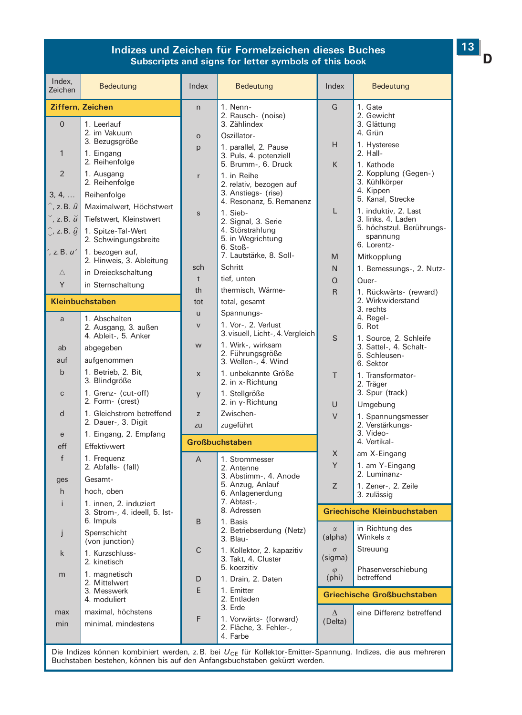## Indizes und Zeichen für Formelzeichen dieses Buches Subscripts and signs for letter symbols of this book

| Index,<br>Zeichen                                                                                 | Bedeutung                                                                                | Index          | Bedeutung                                                                                                                    | Index                       | Bedeutung                                                                                                     |
|---------------------------------------------------------------------------------------------------|------------------------------------------------------------------------------------------|----------------|------------------------------------------------------------------------------------------------------------------------------|-----------------------------|---------------------------------------------------------------------------------------------------------------|
|                                                                                                   | Ziffern, Zeichen                                                                         | n              | 1. Nenn-                                                                                                                     | G                           | 1. Gate                                                                                                       |
| $\overline{0}$<br>$\mathbf{1}$                                                                    | 1. Leerlauf<br>2. im Vakuum<br>3. Bezugsgröße<br>1. Eingang<br>2. Reihenfolge            | $\circ$<br>p   | 2. Rausch- (noise)<br>3. Zählindex<br>Oszillator-<br>1. parallel, 2. Pause<br>3. Puls, 4. potenziell                         | Н                           | 2. Gewicht<br>3. Glättung<br>4. Grün<br>1. Hysterese<br>2. Hall-                                              |
| $\mathfrak{D}$<br>3, 4,<br>$\hat{a}$ , z.B. $\hat{u}$                                             | 1. Ausgang<br>2. Reihenfolge<br>Reihenfolge<br>Maximalwert, Höchstwert                   | r<br>S         | 5. Brumm-, 6. Druck<br>1. in Reihe<br>2. relativ, bezogen auf<br>3. Anstiegs- (rise)<br>4. Resonanz, 5. Remanenz<br>1. Sieb- | K<br>L                      | 1. Kathode<br>2. Kopplung (Gegen-)<br>3. Kühlkörper<br>4. Kippen<br>5. Kanal, Strecke<br>1. induktiv, 2. Last |
| $\check{a}$ , z.B. $\check{u}$<br>$\hat{y}$ , z. B. $\hat{y}$<br>$^{\prime}$ , z. B. $u^{\prime}$ | Tiefstwert, Kleinstwert<br>1. Spitze-Tal-Wert<br>2. Schwingungsbreite<br>1. bezogen auf, |                | 2. Signal, 3. Serie<br>4. Störstrahlung<br>5. in Wegrichtung<br>6. Stoß-<br>7. Lautstärke, 8. Soll-                          | M                           | 3. links, 4. Laden<br>5. höchstzul. Berührungs-<br>spannung<br>6. Lorentz-<br>Mitkopplung                     |
|                                                                                                   | 2. Hinweis, 3. Ableitung                                                                 | sch            | Schritt                                                                                                                      | N                           | 1. Bemessungs-, 2. Nutz-                                                                                      |
| Δ                                                                                                 | in Dreieckschaltung                                                                      | $\mathsf{t}$   | tief, unten                                                                                                                  | Q                           | Quer-                                                                                                         |
| Y                                                                                                 | in Sternschaltung                                                                        | th             | thermisch, Wärme-                                                                                                            | $\overline{R}$              | 1. Rückwärts- (reward)                                                                                        |
|                                                                                                   | <b>Kleinbuchstaben</b>                                                                   | tot            | total, gesamt                                                                                                                |                             | 2. Wirkwiderstand                                                                                             |
| a                                                                                                 | 1. Abschalten                                                                            | $\mathbf{H}$   | Spannungs-                                                                                                                   |                             | 3. rechts<br>4. Regel-                                                                                        |
|                                                                                                   | 2. Ausgang, 3. außen<br>4. Ableit-, 5. Anker                                             | $\overline{V}$ | 1. Vor-, 2. Verlust<br>3. visuell, Licht-, 4. Vergleich                                                                      | S                           | 5. Rot<br>1. Source, 2. Schleife                                                                              |
| ab                                                                                                | abgegeben                                                                                | w              | 1. Wirk-, wirksam                                                                                                            |                             | 3. Sattel-, 4. Schalt-                                                                                        |
| auf                                                                                               | aufgenommen                                                                              |                | 2. Führungsgröße<br>3. Wellen-, 4. Wind                                                                                      |                             | 5. Schleusen-<br>6. Sektor                                                                                    |
| $\mathbf b$                                                                                       | 1. Betrieb, 2. Bit,<br>3. Blindgröße                                                     | X              | 1. unbekannte Größe<br>2. in x-Richtung                                                                                      | T                           | 1. Transformator-<br>2. Träger                                                                                |
| $\mathsf{C}$                                                                                      | 1. Grenz- (cut-off)<br>2. Form- (crest)                                                  | У              | 1. Stellgröße<br>2. in y-Richtung                                                                                            | U                           | 3. Spur (track)<br>Umgebung                                                                                   |
| d                                                                                                 | 1. Gleichstrom betreffend                                                                | Z              | Zwischen-                                                                                                                    | $\vee$                      | 1. Spannungsmesser                                                                                            |
|                                                                                                   | 2. Dauer-, 3. Digit                                                                      | zu             | zugeführt                                                                                                                    |                             | 2. Verstärkungs-                                                                                              |
| e                                                                                                 | 1. Eingang, 2. Empfang                                                                   |                | Großbuchstaben                                                                                                               |                             | 3. Video-<br>4. Vertikal-                                                                                     |
| eff                                                                                               | Effektivwert                                                                             |                |                                                                                                                              | X                           | am X-Eingang                                                                                                  |
| $\mathsf{f}$                                                                                      | 1. Frequenz<br>2. Abfalls- (fall)                                                        | A              | 1. Strommesser<br>2. Antenne                                                                                                 | Y                           | 1. am Y-Eingang<br>2. Luminanz-                                                                               |
| ges                                                                                               | Gesamt-                                                                                  |                | 3. Abstimm-, 4. Anode<br>5. Anzug, Anlauf                                                                                    | Z                           | 1. Zener-, 2. Zeile                                                                                           |
| h                                                                                                 | hoch, oben                                                                               |                | 6. Anlagenerdung                                                                                                             |                             | 3. zulässig                                                                                                   |
| i                                                                                                 | 1. innen, 2. induziert<br>3. Strom-, 4. ideell, 5. Ist-<br>6. Impuls                     | B              | 7. Abtast-,<br>8. Adressen<br>1. Basis                                                                                       |                             | <b>Griechische Kleinbuchstaben</b>                                                                            |
| I                                                                                                 | Sperrschicht<br>(von junction)                                                           |                | 2. Betriebserdung (Netz)<br>3. Blau-                                                                                         | $\alpha$<br>(alpha)         | in Richtung des<br>Winkels $\alpha$                                                                           |
| k                                                                                                 | 1. Kurzschluss-<br>2. kinetisch                                                          | C              | 1. Kollektor, 2. kapazitiv<br>3. Takt, 4. Cluster                                                                            | $\sigma$<br>(sigma)         | Streuung                                                                                                      |
| m                                                                                                 | 1. magnetisch                                                                            |                | 5. koerzitiv                                                                                                                 | $\varphi$<br>$(\text{phi})$ | Phasenverschiebung<br>betreffend                                                                              |
|                                                                                                   | 2. Mittelwert<br>3. Messwerk                                                             | D<br>E         | 1. Drain, 2. Daten<br>1. Emitter                                                                                             |                             |                                                                                                               |
|                                                                                                   | 4. moduliert                                                                             |                | 2. Entladen                                                                                                                  |                             | Griechische Großbuchstaben                                                                                    |
| max                                                                                               | maximal, höchstens                                                                       |                | 3. Erde                                                                                                                      | $\Delta$                    | eine Differenz betreffend                                                                                     |
| min                                                                                               | minimal, mindestens                                                                      | F              | 1. Vorwärts- (forward)<br>2. Fläche, 3. Fehler-,<br>4. Farbe                                                                 | (Delta)                     |                                                                                                               |

Die Indizes können kombiniert werden, z.B. bei  $U_{CE}$  für Kollektor-Emitter-Spannung. Indizes, die aus mehreren Buchstaben bestehen, können bis auf den Anfangsbuchstaben gekürzt werden.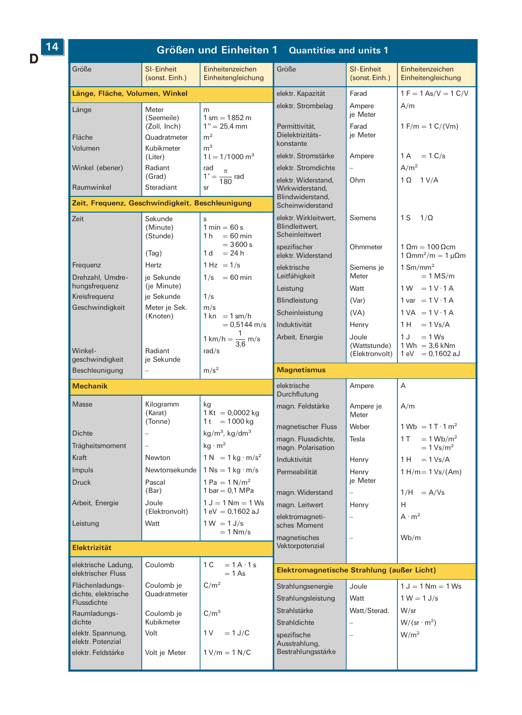$D$ <sup>14</sup>

## Größen und Einheiten 1 Quantities and units 1

| Größe                                           | SI-Einheit<br>(sonst. Einh.)               | Einheitenzeichen<br>Einheitengleichung                               | Größe                                                           | SI-Einheit<br>(sonst. Einh.)   | Einheitenzeichen<br>Einheitengleichung                                          |
|-------------------------------------------------|--------------------------------------------|----------------------------------------------------------------------|-----------------------------------------------------------------|--------------------------------|---------------------------------------------------------------------------------|
| Länge, Fläche, Volumen, Winkel                  |                                            |                                                                      | elektr. Kapazität                                               | Farad                          | $1 F = 1 As/V = 1 C/V$                                                          |
| Länge                                           | Meter                                      | m                                                                    | elektr. Strombelag                                              | Ampere                         | A/m                                                                             |
| Fläche                                          | (Seemeile)<br>(Zoll, Inch)<br>Quadratmeter | $1 \text{ sm} = 1852 \text{ m}$<br>$1'' = 25.4$ mm<br>m <sup>2</sup> | Permittivität,<br>Dielektrizitäts-<br>konstante                 | je Meter<br>Farad<br>je Meter  | $1 F/m = 1 C/(Vm)$                                                              |
| Volumen                                         | Kubikmeter<br>(Liter)                      | m <sup>3</sup><br>$1 l = 1/1000 m3$                                  | elektr. Stromstärke                                             | Ampere                         | $1A = 1C/s$                                                                     |
| Winkel (ebener)                                 | Radiant                                    | rad                                                                  | elektr. Stromdichte                                             |                                | A/m <sup>2</sup>                                                                |
| Raumwinkel                                      | (Grad)<br>Steradiant                       | $1^\circ = \frac{\pi}{180}$ rad                                      | elektr. Widerstand,<br>Wirkwiderstand,                          | Ohm                            | $1 \Omega$ $1 V/A$                                                              |
| Zeit, Frequenz, Geschwindigkeit, Beschleunigung |                                            |                                                                      | Blindwiderstand.                                                |                                |                                                                                 |
|                                                 |                                            |                                                                      | Scheinwiderstand                                                |                                |                                                                                 |
| Zeit                                            | Sekunde<br>(Minute)<br>(Stunde)            | s<br>$1 min = 60 s$<br>$1 h = 60 min$                                | elektr. Wirkleitwert,<br>Blindleitwert,<br>Scheinleitwert       | Siemens                        | 1 S<br>$1/\Omega$                                                               |
|                                                 | (Tag)                                      | $= 3600 s$<br>$1 d = 24 h$                                           | spezifischer<br>elektr. Widerstand                              | Ohmmeter                       | $1 \Omega m = 100 \Omega cm$<br>1 $\Omega$ mm <sup>2</sup> /m = 1 $\mu\Omega$ m |
| Frequenz<br>Drehzahl, Umdre-                    | Hertz<br>je Sekunde                        | $1 Hz = 1/s$<br>$1/s = 60 \text{ min}$                               | elektrische<br>Leitfähigkeit                                    | Siemens je<br>Meter            | $1$ Sm/mm <sup>2</sup><br>$= 1$ MS/m                                            |
| hungsfrequenz                                   | (je Minute)                                |                                                                      | Leistung                                                        | Watt                           | $1W = 1V \cdot 1A$                                                              |
| Kreisfrequenz                                   | je Sekunde                                 | 1/s                                                                  | Blindleistung                                                   | (Var)                          | $1 var = 1 V \cdot 1 A$                                                         |
| Geschwindigkeit                                 | Meter je Sek.                              | m/s                                                                  | Scheinleistung                                                  | (VA)                           | $1 VA = 1 V \cdot 1 A$                                                          |
|                                                 | (Knoten)                                   | $1 \text{ km} = 1 \text{ sm/h}$<br>$= 0.5144$ m/s                    | Induktivität                                                    | Henry                          | $1 H = 1 Vs/A$                                                                  |
|                                                 |                                            | 1 km/h = $\frac{1}{3.6}$ m/s                                         | Arbeit, Energie                                                 | Joule                          | 1 J<br>$= 1$ Ws                                                                 |
| Winkel-<br>geschwindigkeit                      | Radiant<br>je Sekunde                      | rad/s                                                                |                                                                 | (Wattstunde)<br>(Elektronvolt) | $1 Wh = 3.6$ kNm<br>$1 \text{ eV} = 0,1602 \text{ aJ}$                          |
|                                                 |                                            |                                                                      |                                                                 |                                |                                                                                 |
| Beschleunigung                                  |                                            | m/s <sup>2</sup>                                                     | <b>Magnetismus</b>                                              |                                |                                                                                 |
| <b>Mechanik</b>                                 |                                            |                                                                      | elektrische<br>Durchflutung                                     | Ampere                         | A                                                                               |
| Masse                                           | Kilogramm<br>(Karat)                       | kg<br>1 Kt = $0,0002$ kg                                             | magn. Feldstärke                                                | Ampere je<br>Meter             | A/m                                                                             |
|                                                 | (Tonne)                                    | 1 t = $1000 \text{ kg}$                                              | magnetischer Fluss                                              | Weber                          | $1 \text{ Wb} = 1 \text{ T} \cdot 1 \text{ m}^2$                                |
| <b>Dichte</b>                                   |                                            | $kg/m3$ , kg/dm <sup>3</sup>                                         | magn. Flussdichte,                                              | Tesla                          | $1 T = 1 Wb/m2$                                                                 |
| Trägheitsmoment<br>Kraft                        | Newton                                     | $kg \cdot m^2$<br>$1 N = 1 kg \cdot m/s^2$                           | magn. Polarisation                                              |                                | $= 1$ Vs/m <sup>2</sup>                                                         |
| Impuls                                          | Newtonsekunde                              | $1$ Ns = $1$ kg $\cdot$ m/s                                          | Induktivität                                                    | Henry                          | $1 H = 1 Vs/A$                                                                  |
| <b>Druck</b>                                    | Pascal                                     | 1 Pa = $1$ N/m <sup>2</sup>                                          | Permeabilität                                                   | Henry<br>je Meter              | $1 H/m = 1 Vs/(Am)$                                                             |
| Arbeit, Energie                                 | (Bar)<br>Joule                             | 1 bar $= 0.1$ MPa<br>$1 J = 1 Nm = 1 Ws$                             | magn. Widerstand                                                |                                | $1/H = A/Vs$                                                                    |
|                                                 | (Elektronvolt)                             | 1 eV = $0,1602$ aJ                                                   | magn. Leitwert<br>elektromagneti-                               | Henry                          | H<br>$A \cdot m^2$                                                              |
| Leistung                                        | Watt                                       | $1 W = 1 J/s$<br>$= 1$ Nm/s                                          | sches Moment                                                    |                                |                                                                                 |
| <b>Elektrizität</b>                             |                                            |                                                                      | magnetisches<br>Vektorpotenzial                                 |                                | Wb/m                                                                            |
| elektrische Ladung,                             | Coulomb                                    | 1 C<br>$= 1 A \cdot 1 s$                                             |                                                                 |                                |                                                                                 |
| elektrischer Fluss<br>Flächenladungs-           | Coulomb je                                 | $= 1$ As<br>C/m <sup>2</sup>                                         | Elektromagnetische Strahlung (außer Licht)<br>Strahlungsenergie | Joule                          | $1 J = 1 Nm = 1 Ws$                                                             |
| dichte, elektrische                             | Quadratmeter                               |                                                                      | Strahlungsleistung                                              | Watt                           | $1 W = 1 J/s$                                                                   |
| Flussdichte                                     |                                            |                                                                      | Strahlstärke                                                    | Watt/Sterad.                   | W/sr                                                                            |
| Raumladungs-<br>dichte                          | Coulomb je<br>Kubikmeter                   | C/m <sup>3</sup>                                                     | Strahldichte                                                    |                                | $W/(sr \cdot m^2)$                                                              |
| elektr. Spannung,<br>elektr. Potenzial          | Volt                                       | 1 V<br>$=1$ J/C                                                      | spezifische<br>Ausstrahlung,                                    | ÷                              | W/m <sup>2</sup>                                                                |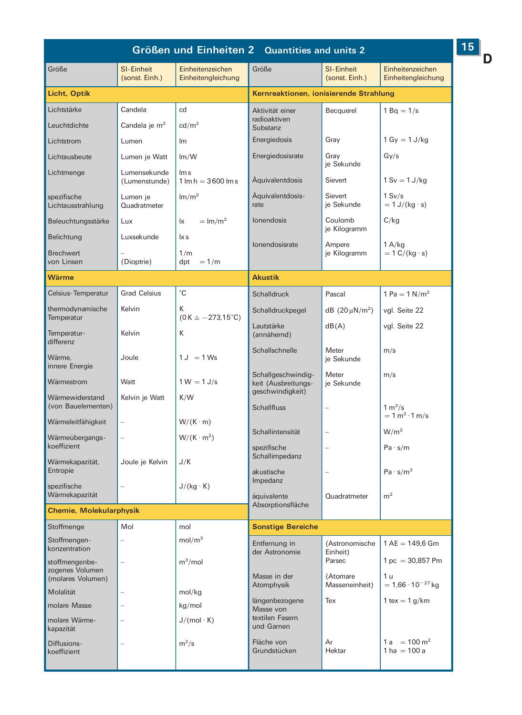| Größen und Einheiten 2 Quantities and units 2 |                                     |                                                |                                                               |                                     |                                             |
|-----------------------------------------------|-------------------------------------|------------------------------------------------|---------------------------------------------------------------|-------------------------------------|---------------------------------------------|
| Größe                                         | <b>SI-Einheit</b><br>(sonst. Einh.) | Einheitenzeichen<br>Einheitengleichung         | Größe                                                         | <b>SI-Einheit</b><br>(sonst. Einh.) | Einheitenzeichen<br>Einheitengleichung      |
| Licht, Optik                                  |                                     |                                                | Kernreaktionen, ionisierende Strahlung                        |                                     |                                             |
| Lichtstärke                                   | Candela                             | cd                                             | Aktivität einer                                               | Becquerel                           | $1 Bq = 1/s$                                |
| Leuchtdichte                                  | Candela je $m2$                     | $\text{cd}/\text{m}^2$                         | radioaktiven<br>Substanz                                      |                                     |                                             |
| Lichtstrom                                    | Lumen                               | Im                                             | Energiedosis                                                  | Gray                                | $1 Gy = 1 J/kg$                             |
| Lichtausbeute                                 | Lumen je Watt                       | Im/W                                           | Energiedosisrate                                              | Gray                                | Gy/s                                        |
| Lichtmenge                                    | Lumensekunde<br>(Lumenstunde)       | lm s<br>$1 \text{ Im } h = 3600 \text{ Im } s$ | Aquivalentdosis                                               | je Sekunde<br>Sievert               | $1 Sv = 1 J/kg$                             |
| spezifische<br>Lichtausstrahlung              | Lumen je<br>Quadratmeter            | Im/m <sup>2</sup>                              | Aquivalentdosis-<br>rate                                      | Sievert<br>je Sekunde               | 1 Sv/s<br>$= 1 J/(kg \cdot s)$              |
| Beleuchtungsstärke                            | Lux                                 | $=$ lm/m <sup>2</sup><br>lx                    | lonendosis                                                    | Coulomb                             | C/kg                                        |
| Belichtung                                    | Luxsekunde                          | lx s                                           | Ionendosisrate                                                | je Kilogramm                        |                                             |
| <b>Brechwert</b><br>von Linsen                | (Dioptrie)                          | 1/m<br>$=1/m$<br>dpt                           |                                                               | Ampere<br>je Kilogramm              | 1 A/kg<br>$= 1 C/(kg \cdot s)$              |
| Wärme                                         |                                     |                                                | <b>Akustik</b>                                                |                                     |                                             |
| Celsius-Temperatur                            | <b>Grad Celsius</b>                 | °С                                             | <b>Schalldruck</b>                                            | Pascal                              | 1 Pa = $1 N/m^2$                            |
| thermodynamische                              | Kelvin                              | к                                              | Schalldruckpegel                                              | $dB$ (20 $\mu$ N/m <sup>2</sup> )   | vgl. Seite 22                               |
| Temperatur<br>Temperatur-                     | Kelvin                              | $(0 K \hat{=} -273.15^{\circ}C)$<br>К          | Lautstärke<br>(annähernd)                                     | dB(A)                               | vgl. Seite 22                               |
| differenz<br>Wärme,<br>innere Energie         | Joule                               | $1 J = 1 Ws$                                   | Schallschnelle                                                | Meter<br>je Sekunde                 | m/s                                         |
| Wärmestrom                                    | Watt                                | $1 W = 1 J/s$                                  | Schallgeschwindig-<br>keit (Ausbreitungs-<br>geschwindigkeit) | Meter<br>je Sekunde                 | m/s                                         |
| Wärmewiderstand<br>(von Bauelementen)         | Kelvin je Watt                      | K/W                                            | <b>Schallfluss</b>                                            |                                     | 1 m <sup>3</sup> /s<br>$= 1 m2 \cdot 1 m/s$ |
| Wärmeleitfähigkeit                            |                                     | $W/(K \cdot m)$                                | Schallintensität                                              |                                     | W/m <sup>2</sup>                            |
| Wärmeübergangs-<br>koeffizient                |                                     | $W/(K \cdot m^2)$                              | spezifische<br>Schallimpedanz                                 |                                     | Pa·s/m                                      |
| Wärmekapazität,<br>Entropie                   | Joule je Kelvin                     | J/K                                            | akustische                                                    |                                     | $Pa \cdot s/m^3$                            |
| spezifische<br>Wärmekapazität                 |                                     | $J/(kg \cdot K)$                               | Impedanz<br>äquivalente<br>Absorptionsfläche                  | Quadratmeter                        | m <sup>2</sup>                              |
| <b>Chemie, Molekularphysik</b>                |                                     |                                                |                                                               |                                     |                                             |
| Stoffmenge                                    | Mol                                 | mol                                            | <b>Sonstige Bereiche</b>                                      |                                     |                                             |
| Stoffmengen-<br>konzentration                 |                                     | mol/m <sup>3</sup>                             | Entfernung in<br>der Astronomie                               |                                     | (Astronomische   1 AE = 149,6 Gm            |
| stoffmengenbe-<br>zogenes Volumen             |                                     | $m^3$ /mol                                     |                                                               | Einheit)<br>Parsec<br>(Atomare      | $1 pc = 30,857 Pm$                          |
| (molares Volumen)                             |                                     |                                                | Masse in der<br>Atomphysik                                    | Masseneinheit)                      | 1 u<br>$= 1.66 \cdot 10^{-27}$ kg           |
| Molalität<br>molare Masse                     |                                     | mol/kg<br>kg/mol                               | längenbezogene                                                | Tex                                 | 1 tex = $1$ g/km                            |
| molare Wärme-<br>kapazität                    |                                     | $J/(mol \cdot K)$                              | Masse von<br>textilen Fasern<br>und Garnen                    |                                     |                                             |
| Diffusions-<br>koeffizient                    |                                     | $m^2/s$                                        | Fläche von<br>Grundstücken                                    | Ar<br>Hektar                        | $1a = 100 \text{ m}^2$<br>$1 ha = 100 a$    |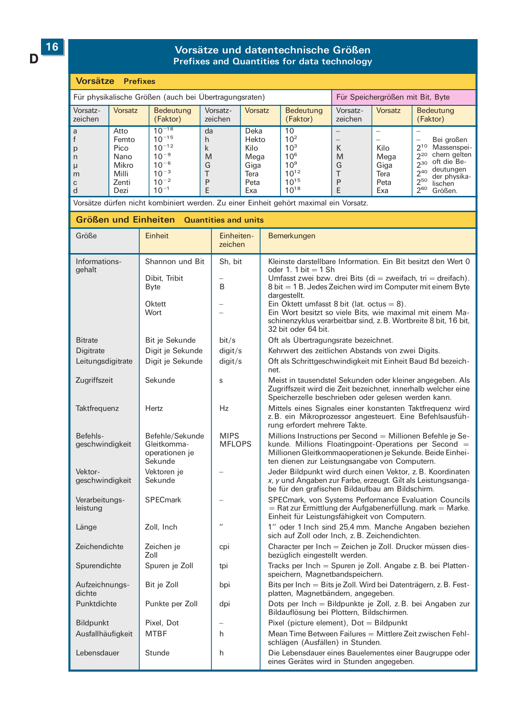D

## Vorsätze und datentechnische Größen Prefixes and Quantities for data technology

#### Vorsätze Prefixes

| Für physikalische Größen (auch bei Übertragungsraten) |                                                                  |                                                                                                         |                             |                                                              | Für Speichergrößen mit Bit, Byte                                                                 |                       |                                             |                                                                                                                                                                           |
|-------------------------------------------------------|------------------------------------------------------------------|---------------------------------------------------------------------------------------------------------|-----------------------------|--------------------------------------------------------------|--------------------------------------------------------------------------------------------------|-----------------------|---------------------------------------------|---------------------------------------------------------------------------------------------------------------------------------------------------------------------------|
| Vorsatz-<br>zeichen                                   | <b>Vorsatz</b>                                                   | Bedeutung<br>(Faktor)                                                                                   | Vorsatz-<br>zeichen         | <b>Vorsatz</b>                                               | Bedeutung<br>(Faktor)                                                                            | Vorsatz-<br>zeichen   | Vorsatz                                     | Bedeutung<br>(Faktor)                                                                                                                                                     |
| a<br>p<br>n<br>$\mu$<br>m<br>$\mathsf{C}$<br>d        | Atto<br>Femto<br>Pico<br>Nano<br>Mikro<br>Milli<br>Zenti<br>Dezi | $10^{-18}$<br>$10^{-15}$<br>$10^{-12}$<br>$10^{-9}$<br>$10^{-6}$<br>$10^{-3}$<br>$10^{-2}$<br>$10^{-1}$ | da<br>h<br>k<br>M<br>G<br>P | Deka<br>Hekto<br>Kilo<br>Mega<br>Giga<br>Tera<br>Peta<br>Exa | 10<br>$10^{2}$<br>$10^{3}$<br>$10^{6}$<br>10 <sup>9</sup><br>$10^{12}$<br>$10^{15}$<br>$10^{18}$ | K<br>M<br>G<br>P<br>E | Kilo<br>Mega<br>Giga<br>Tera<br>Peta<br>Exa | Bei großen<br>Massenspei-<br>$2^{10}$<br>chern gelten<br>$2^{20}$<br>oft die Be-<br>230<br>deutungen<br>240<br>der physika-<br>$2^{50}$<br>lischen<br>$2^{60}$<br>Größen. |

Vorsätze dürfen nicht kombiniert werden. Zu einer Einheit gehört maximal ein Vorsatz.

| Größen und Einheiten Quantities and units |                                                             |                              |                                                                                                                                                                                                                                    |  |  |
|-------------------------------------------|-------------------------------------------------------------|------------------------------|------------------------------------------------------------------------------------------------------------------------------------------------------------------------------------------------------------------------------------|--|--|
| Größe                                     | Einheit                                                     | Einheiten-<br>zeichen        | Bemerkungen                                                                                                                                                                                                                        |  |  |
| Informations-                             | Shannon und Bit                                             | Sh. bit                      | Kleinste darstellbare Information. Ein Bit besitzt den Wert 0<br>oder 1. 1 bit $=$ 1 Sh                                                                                                                                            |  |  |
| gehalt                                    | Dibit, Tribit<br><b>Byte</b>                                | B                            | Umfasst zwei bzw. drei Bits (di = zweifach, tri = dreifach).<br>8 bit = 1 B. Jedes Zeichen wird im Computer mit einem Byte<br>dargestellt.                                                                                         |  |  |
|                                           | Oktett<br>Wort                                              |                              | Ein Oktett umfasst 8 bit (lat. octus = $8$ ).<br>Ein Wort besitzt so viele Bits, wie maximal mit einem Ma-<br>schinenzyklus verarbeitbar sind, z. B. Wortbreite 8 bit, 16 bit,<br>32 bit oder 64 bit.                              |  |  |
| <b>Bitrate</b>                            | Bit je Sekunde                                              | bit/s                        | Oft als Übertragungsrate bezeichnet.                                                                                                                                                                                               |  |  |
| <b>Digitrate</b>                          | Digit je Sekunde                                            | digit/s                      | Kehrwert des zeitlichen Abstands von zwei Digits.                                                                                                                                                                                  |  |  |
| Leitungsdigitrate                         | Digit je Sekunde                                            | digit/s                      | Oft als Schrittgeschwindigkeit mit Einheit Baud Bd bezeich-<br>net.                                                                                                                                                                |  |  |
| Zugriffszeit                              | Sekunde                                                     | S                            | Meist in tausendstel Sekunden oder kleiner angegeben. Als<br>Zugriffszeit wird die Zeit bezeichnet, innerhalb welcher eine<br>Speicherzelle beschrieben oder gelesen werden kann.                                                  |  |  |
| Taktfrequenz                              | Hertz                                                       | Hz                           | Mittels eines Signales einer konstanten Taktfrequenz wird<br>z.B. ein Mikroprozessor angesteuert. Eine Befehlsausfüh-<br>rung erfordert mehrere Takte.                                                                             |  |  |
| Befehls-<br>geschwindigkeit               | Befehle/Sekunde<br>Gleitkomma-<br>operationen je<br>Sekunde | <b>MIPS</b><br><b>MFLOPS</b> | Millions Instructions per Second = Millionen Befehle je Se-<br>kunde. Millions Floatingpoint-Operations per Second =<br>Millionen Gleitkommaoperationen je Sekunde. Beide Einhei-<br>ten dienen zur Leistungsangabe von Computern. |  |  |
| Vektor-<br>geschwindigkeit                | Vektoren je<br>Sekunde                                      |                              | Jeder Bildpunkt wird durch einen Vektor, z. B. Koordinaten<br>x, y und Angaben zur Farbe, erzeugt. Gilt als Leistungsanga-<br>be für den grafischen Bildaufbau am Bildschirm.                                                      |  |  |
| Verarbeitungs-<br>leistung                | <b>SPECmark</b>                                             |                              | SPECmark, von Systems Performance Evaluation Councils<br>= Rat zur Ermittlung der Aufgabenerfüllung. mark = Marke.<br>Einheit für Leistungsfähigkeit von Computern.                                                                |  |  |
| Länge                                     | Zoll, Inch                                                  | $^{\prime}$                  | 1" oder 1 Inch sind 25,4 mm. Manche Angaben beziehen<br>sich auf Zoll oder Inch, z. B. Zeichendichten.                                                                                                                             |  |  |
| Zeichendichte                             | Zeichen je<br>Zoll                                          | cpi                          | Character per Inch = Zeichen je Zoll. Drucker müssen dies-<br>bezüglich eingestellt werden.                                                                                                                                        |  |  |
| Spurendichte                              | Spuren je Zoll                                              | tpi                          | Tracks per Inch = Spuren je Zoll. Angabe z. B. bei Platten-<br>speichern, Magnetbandspeichern.                                                                                                                                     |  |  |
| Aufzeichnungs-<br>dichte                  | Bit je Zoll                                                 | bpi                          | Bits per Inch = Bits je Zoll. Wird bei Datenträgern, z. B. Fest-<br>platten, Magnetbändern, angegeben.                                                                                                                             |  |  |
| Punktdichte                               | Punkte per Zoll                                             | dpi                          | Dots per Inch = Bildpunkte je Zoll, z. B. bei Angaben zur<br>Bildauflösung bei Plottern, Bildschirmen.                                                                                                                             |  |  |
| <b>Bildpunkt</b>                          | Pixel, Dot                                                  |                              | Pixel (picture element), $Dot =$ Bildpunkt                                                                                                                                                                                         |  |  |
| Ausfallhäufigkeit                         | <b>MTBF</b>                                                 | h                            | Mean Time Between Failures = Mittlere Zeit zwischen Fehl-<br>schlägen (Ausfällen) in Stunden.                                                                                                                                      |  |  |
| Lebensdauer                               | Stunde                                                      | h                            | Die Lebensdauer eines Bauelementes einer Baugruppe oder<br>eines Gerätes wird in Stunden angegeben.                                                                                                                                |  |  |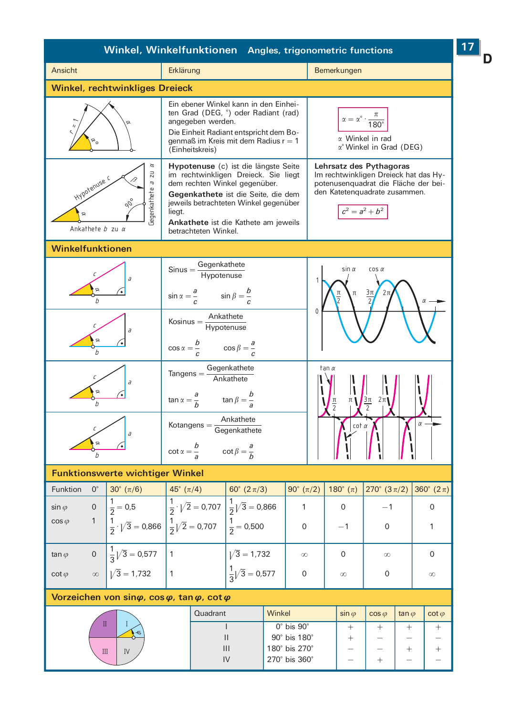| Winkel, Winkelfunktionen Angles, trigonometric functions                                                                        |                                                                                                                                 |                                                                                                                                                                                                      |                                                                            |                                                     |                                                                                                                                           |                           | 17 |
|---------------------------------------------------------------------------------------------------------------------------------|---------------------------------------------------------------------------------------------------------------------------------|------------------------------------------------------------------------------------------------------------------------------------------------------------------------------------------------------|----------------------------------------------------------------------------|-----------------------------------------------------|-------------------------------------------------------------------------------------------------------------------------------------------|---------------------------|----|
| Ansicht                                                                                                                         | Erklärung                                                                                                                       |                                                                                                                                                                                                      |                                                                            | Bemerkungen                                         |                                                                                                                                           |                           |    |
| <b>Winkel, rechtwinkliges Dreieck</b>                                                                                           |                                                                                                                                 |                                                                                                                                                                                                      |                                                                            |                                                     |                                                                                                                                           |                           |    |
|                                                                                                                                 | angegeben werden.<br>(Einheitskreis)                                                                                            | Ein ebener Winkel kann in den Einhei-<br>ten Grad (DEG, °) oder Radiant (rad)<br>Die Einheit Radiant entspricht dem Bo-<br>genmaß im Kreis mit dem Radius $r = 1$                                    |                                                                            | $\alpha = \alpha^\circ \cdot \frac{\pi}{180^\circ}$ | $\alpha$ Winkel in rad<br>$\alpha$ ° Winkel in Grad (DEG)                                                                                 |                           |    |
| $\alpha$<br>11<br>B<br>Hypotenuse<br>rg<br>Jegenkathete<br>Ankathete $b$ zu $\alpha$                                            | dem rechten Winkel gegenüber.<br>liegt.<br>betrachteten Winkel.                                                                 | Hypotenuse (c) ist die längste Seite<br>im rechtwinkligen Dreieck. Sie liegt<br>Gegenkathete ist die Seite, die dem<br>jeweils betrachteten Winkel gegenüber<br>Ankathete ist die Kathete am jeweils |                                                                            | $c^2 = a^2 + b^2$                                   | Lehrsatz des Pythagoras<br>Im rechtwinkligen Dreieck hat das Hy-<br>potenusenquadrat die Fläche der bei-<br>den Katetenquadrate zusammen. |                           |    |
| <b>Winkelfunktionen</b>                                                                                                         |                                                                                                                                 |                                                                                                                                                                                                      |                                                                            |                                                     |                                                                                                                                           |                           |    |
|                                                                                                                                 | $\mathsf{Sinus} = \frac{\mathsf{Gegenkathete}}{\mathsf{Hypotenuse}}$<br>$\sin \alpha = \frac{a}{c}$ $\sin \beta = \frac{b}{c}$  |                                                                                                                                                                                                      | 1                                                                          | $sin \alpha$<br>$cos \alpha$<br>Зπ                  |                                                                                                                                           |                           |    |
| $\overline{d}$                                                                                                                  | $Kosinus = \frac{Ankathete}{Hypotenuse}$<br>$\cos \alpha = \frac{b}{c}$ $\cos \beta = \frac{a}{c}$                              |                                                                                                                                                                                                      | 0                                                                          |                                                     |                                                                                                                                           |                           |    |
| a<br>∝                                                                                                                          | $\mathsf{Tangens} = \frac{\mathsf{Gegenkathete}}{\mathsf{Ankathete}}$<br>$\tan \alpha = \frac{a}{b}$ $\tan \beta = \frac{b}{a}$ |                                                                                                                                                                                                      |                                                                            | tan α                                               | $\frac{3\pi}{2}$ $2\pi$                                                                                                                   |                           |    |
| $\overline{a}$                                                                                                                  | $\text{Kotangens} = \frac{\text{Ankathete}}{\text{Gegenkathete}}$<br>$\cot \alpha = \frac{b}{a}$ $\cot \beta = \frac{a}{b}$     |                                                                                                                                                                                                      |                                                                            | $cot \alpha$                                        |                                                                                                                                           |                           |    |
| <b>Funktionswerte wichtiger Winkel</b>                                                                                          |                                                                                                                                 |                                                                                                                                                                                                      |                                                                            |                                                     |                                                                                                                                           |                           |    |
| $0^{\circ}$<br>$30^{\circ} (\pi/6)$<br>Funktion                                                                                 | 45° $(\pi/4)$                                                                                                                   | 60° (2 $\pi$ /3)                                                                                                                                                                                     | 90° $(\pi/2)$                                                              | 180 $^{\circ}$ ( $\pi$ )                            | 270° (3 $\pi$ /2)                                                                                                                         | 360 $^{\circ}$ (2 $\pi$ ) |    |
| 0 $\frac{1}{2} = 0.5$ $\frac{1}{2} \cdot \sqrt{2} = 0.707 \frac{1}{2} \sqrt{3} = 0.866$<br>$\sin \varphi$<br>1<br>$cos \varphi$ | $\frac{1}{2} \cdot \sqrt{3} = 0.866 \left( \frac{1}{2} \sqrt{2} = 0.707 \right) \left( \frac{1}{2} = 0.500 \right)$             |                                                                                                                                                                                                      | 1<br>0                                                                     | 0<br>$-1$                                           | $-1$<br>0                                                                                                                                 | 0<br>1                    |    |
| $\frac{1}{3}\sqrt{3} = 0.577$ 1<br>$\overline{0}$<br>tan $\varphi$                                                              |                                                                                                                                 | $\sqrt{3} = 1.732$                                                                                                                                                                                   | $\infty$                                                                   | 0                                                   | $\infty$                                                                                                                                  | 0                         |    |
| $\sqrt{3} = 1.732$<br>$\cot \varphi$<br>$\infty$                                                                                | 1                                                                                                                               | $\frac{1}{3}\sqrt{3} = 0.577$                                                                                                                                                                        | $\mathbf 0$                                                                | $\infty$                                            | 0                                                                                                                                         | $\infty$                  |    |
| Vorzeichen von sin $\varphi$ , cos $\varphi$ , tan $\varphi$ , cot $\varphi$                                                    |                                                                                                                                 |                                                                                                                                                                                                      |                                                                            |                                                     |                                                                                                                                           |                           |    |
|                                                                                                                                 | Quadrant                                                                                                                        | Winkel                                                                                                                                                                                               |                                                                            | $\sin \varphi$                                      | $cos \varphi$<br>tan $\varphi$                                                                                                            | $\cot \varphi$            |    |
| $\mathbf{I}$<br>L<br>$\overline{a}$<br>$\mathop{\rm III}\nolimits$<br>IV                                                        |                                                                                                                                 | $\mathbf{I}$<br>$\ensuremath{\mathsf{II}}$<br>$\mathbf{III}$<br>IV                                                                                                                                   | $0^\circ$ bis $90^\circ$<br>90° bis 180°<br>180° bis 270°<br>270° bis 360° | $^{+}$<br>$^+$                                      | $^{+}$<br>$^{+}$<br>$^+$<br>$\! + \!\!\!\!$                                                                                               | $^{+}$<br>$^{+}$          |    |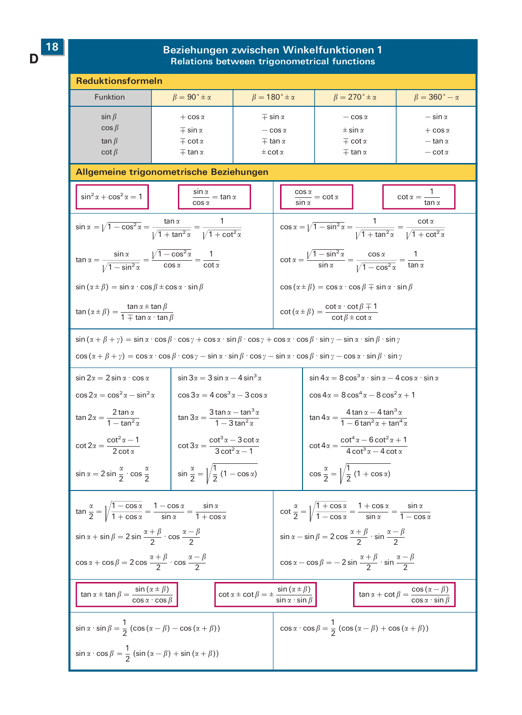D

## Beziehungen zwischen Winkelfunktionen 1<br>Relations between trigonometrical functions

| <b>Reduktionsformeln</b>                                                                                                                                                                                                                                                                  |                                                                                                                                                                                                                                     |                                                                                                                                       |                                                                                                                                 |                                                                                              |                                                                                              |                                                               |  |  |
|-------------------------------------------------------------------------------------------------------------------------------------------------------------------------------------------------------------------------------------------------------------------------------------------|-------------------------------------------------------------------------------------------------------------------------------------------------------------------------------------------------------------------------------------|---------------------------------------------------------------------------------------------------------------------------------------|---------------------------------------------------------------------------------------------------------------------------------|----------------------------------------------------------------------------------------------|----------------------------------------------------------------------------------------------|---------------------------------------------------------------|--|--|
| Funktion                                                                                                                                                                                                                                                                                  | $\beta = 90^{\circ} \pm \alpha$                                                                                                                                                                                                     | $\beta = 180^\circ \pm \alpha$                                                                                                        |                                                                                                                                 | $\beta = 270^\circ \pm \alpha$                                                               |                                                                                              | $\beta = 360^{\circ} - \alpha$                                |  |  |
| $\sin \beta$<br>$\cos \beta$<br>tan $\beta$<br>$\cot \beta$                                                                                                                                                                                                                               | $+ \cos \alpha$<br>$\mp$ sin $\alpha$<br>$\mp$ cot $\alpha$<br>$\mp$ tan $\alpha$                                                                                                                                                   | $\mp$ sin $\alpha$<br>$-\cos \alpha$<br>$\mp$ tan $\alpha$<br>$\pm$ cot $\alpha$                                                      | $-\cos \alpha$<br>$\pm$ sin $\alpha$<br>$\mp$ cot $\alpha$<br>$\mp$ tan $\alpha$                                                |                                                                                              |                                                                                              | $-\sin\alpha$<br>$+ \cos \alpha$<br>— tan α<br>$-\cot \alpha$ |  |  |
|                                                                                                                                                                                                                                                                                           | Allgemeine trigonometrische Beziehungen                                                                                                                                                                                             |                                                                                                                                       |                                                                                                                                 |                                                                                              |                                                                                              |                                                               |  |  |
| $\sin^2 \alpha + \cos^2 \alpha = 1$                                                                                                                                                                                                                                                       | $\frac{\sin \alpha}{\cos \alpha} = \tan \alpha$                                                                                                                                                                                     |                                                                                                                                       | $\frac{\cos \alpha}{\sin \alpha} = \cot \alpha$<br>$\cot \alpha = \frac{1}{\tan \alpha}$                                        |                                                                                              |                                                                                              |                                                               |  |  |
|                                                                                                                                                                                                                                                                                           | $\sin \alpha = \sqrt{1 - \cos^2 \alpha} = \frac{\tan \alpha}{\sqrt{1 + \tan^2 \alpha}} = \frac{1}{\sqrt{1 + \cot^2 \alpha}}$                                                                                                        |                                                                                                                                       | $\cos\alpha = \sqrt{1-\sin^2\alpha} = \frac{1}{\sqrt{1+\tan^2\alpha}} = \frac{\cot\alpha}{\sqrt{1+\cot^2\alpha}}$               |                                                                                              |                                                                                              |                                                               |  |  |
| $\tan\alpha = \frac{\sin\alpha}{\sqrt{1-\sin^2\alpha}} = \frac{\sqrt{1-\cos^2\alpha}}{\cos\alpha} = \frac{1}{\cot\alpha}$                                                                                                                                                                 |                                                                                                                                                                                                                                     |                                                                                                                                       | $\cot \alpha = \frac{\sqrt{1-\sin^2 \alpha}}{\sin \alpha} = \frac{\cos \alpha}{\sqrt{1-\cos^2 \alpha}} = \frac{1}{\tan \alpha}$ |                                                                                              |                                                                                              |                                                               |  |  |
| $\sin(\alpha \pm \beta) = \sin \alpha \cdot \cos \beta \pm \cos \alpha \cdot \sin \beta$                                                                                                                                                                                                  |                                                                                                                                                                                                                                     |                                                                                                                                       | $\cos(\alpha \pm \beta) = \cos \alpha \cdot \cos \beta \mp \sin \alpha \cdot \sin \beta$                                        |                                                                                              |                                                                                              |                                                               |  |  |
| $\tan (\alpha \pm \beta) = \frac{\tan \alpha \pm \tan \beta}{1 \pm \tan \alpha \cdot \tan \beta}$                                                                                                                                                                                         |                                                                                                                                                                                                                                     | $\cot(\alpha \pm \beta) = \frac{\cot \alpha \cdot \cot \beta \mp 1}{\cot \beta \pm \cot \alpha}$                                      |                                                                                                                                 |                                                                                              |                                                                                              |                                                               |  |  |
|                                                                                                                                                                                                                                                                                           | $\sin(\alpha + \beta + \gamma) = \sin \alpha \cdot \cos \beta \cdot \cos \gamma + \cos \alpha \cdot \sin \beta \cdot \cos \gamma + \cos \alpha \cdot \cos \beta \cdot \sin \gamma - \sin \alpha \cdot \sin \beta \cdot \sin \gamma$ |                                                                                                                                       |                                                                                                                                 |                                                                                              |                                                                                              |                                                               |  |  |
|                                                                                                                                                                                                                                                                                           | $\cos(\alpha + \beta + \gamma) = \cos \alpha \cdot \cos \beta \cdot \cos \gamma - \sin \alpha \cdot \sin \beta \cdot \cos \gamma - \sin \alpha \cdot \cos \beta \cdot \sin \gamma - \cos \alpha \cdot \sin \beta \cdot \sin \gamma$ |                                                                                                                                       |                                                                                                                                 |                                                                                              |                                                                                              |                                                               |  |  |
| $\sin 2\alpha = 2 \sin \alpha \cdot \cos \alpha$                                                                                                                                                                                                                                          | $\sin 3\alpha = 3 \sin \alpha - 4 \sin^3 \alpha$                                                                                                                                                                                    |                                                                                                                                       | $\sin 4\alpha = 8\cos^3 \alpha \cdot \sin \alpha - 4\cos \alpha \cdot \sin \alpha$                                              |                                                                                              |                                                                                              |                                                               |  |  |
|                                                                                                                                                                                                                                                                                           | $\cos 2\alpha = \cos^2 \alpha - \sin^2 \alpha$<br>$\cos 3\alpha = 4\cos^3 \alpha - 3\cos \alpha$                                                                                                                                    |                                                                                                                                       |                                                                                                                                 | $\cos 4\alpha = 8\cos^4 \alpha - 8\cos^2 \alpha + 1$                                         |                                                                                              |                                                               |  |  |
| $\tan 2\alpha = \frac{2\tan \alpha}{1-\tan^2 \alpha}$                                                                                                                                                                                                                                     | $\tan 3\alpha = \frac{3\tan\alpha - \tan^3\alpha}{1 - 3\tan^2\alpha}$                                                                                                                                                               |                                                                                                                                       |                                                                                                                                 | $\tan 4\alpha = \frac{4\tan \alpha - 4\tan^3 \alpha}{1 - 6\tan^2 \alpha + \tan^4 \alpha}$    |                                                                                              |                                                               |  |  |
| $\cot 2\alpha = \frac{\cot^2 \alpha - 1}{2 \cot \alpha}$                                                                                                                                                                                                                                  | $\cot 3\alpha = \frac{\cot^3 \alpha - 3 \cot \alpha}{3 \cot^2 \alpha - 1}$                                                                                                                                                          |                                                                                                                                       |                                                                                                                                 | $\cot 4\alpha = \frac{\cot^4 \alpha - 6 \cot^2 \alpha + 1}{4 \cot^3 \alpha - 4 \cot \alpha}$ |                                                                                              |                                                               |  |  |
| $\sin \alpha = 2 \sin \frac{\alpha}{2} \cdot \cos \frac{\alpha}{2}$                                                                                                                                                                                                                       | $\sin \frac{\alpha}{2} = \sqrt{\frac{1}{2}(1 - \cos \alpha)}$                                                                                                                                                                       |                                                                                                                                       |                                                                                                                                 | $\cos\frac{\alpha}{2} = \sqrt{\frac{1}{2}(1 + \cos\alpha)}$                                  |                                                                                              |                                                               |  |  |
| $\tan\frac{\alpha}{2} = \left  \sqrt{\frac{1-\cos\alpha}{1+\cos\alpha}} \right  = \frac{1-\cos\alpha}{\sin\alpha} = \frac{\sin\alpha}{1+\cos\alpha}$                                                                                                                                      |                                                                                                                                                                                                                                     | $\cot\frac{\alpha}{2} = \sqrt{\frac{1+\cos\alpha}{1-\cos\alpha}} = \frac{1+\cos\alpha}{\sin\alpha} = \frac{\sin\alpha}{1-\cos\alpha}$ |                                                                                                                                 |                                                                                              |                                                                                              |                                                               |  |  |
| $\sin \alpha + \sin \beta = 2 \sin \frac{\alpha + \beta}{2} \cdot \cos \frac{\alpha - \beta}{2}$                                                                                                                                                                                          |                                                                                                                                                                                                                                     | $\sin \alpha - \sin \beta = 2 \cos \frac{\alpha + \beta}{2} \cdot \sin \frac{\alpha - \beta}{2}$                                      |                                                                                                                                 |                                                                                              |                                                                                              |                                                               |  |  |
| $\cos\alpha + \cos\beta = 2\cos\frac{\alpha+\beta}{2}\cdot\cos\frac{\alpha-\beta}{2}$                                                                                                                                                                                                     |                                                                                                                                                                                                                                     | $\cos\alpha - \cos\beta = -2\sin\frac{\alpha+\beta}{2}\cdot\sin\frac{\alpha-\beta}{2}$                                                |                                                                                                                                 |                                                                                              |                                                                                              |                                                               |  |  |
| $\tan \alpha \pm \tan \beta = \frac{\sin (\alpha \pm \beta)}{\cos \alpha \cdot \cos \beta}$<br>$\cot \alpha \pm \cot \beta = \pm \frac{\sin (\alpha \pm \beta)}{\sin \alpha \cdot \sin \beta}$<br>$\tan \alpha + \cot \beta = \frac{\cos (\alpha - \beta)}{\cos \alpha \cdot \sin \beta}$ |                                                                                                                                                                                                                                     |                                                                                                                                       |                                                                                                                                 |                                                                                              |                                                                                              |                                                               |  |  |
|                                                                                                                                                                                                                                                                                           | $\sin \alpha \cdot \sin \beta = \frac{1}{2} (\cos (\alpha - \beta) - \cos (\alpha + \beta))$                                                                                                                                        |                                                                                                                                       |                                                                                                                                 |                                                                                              | $\cos \alpha \cdot \cos \beta = \frac{1}{2} (\cos (\alpha - \beta) + \cos (\alpha + \beta))$ |                                                               |  |  |
| $\sin \alpha \cdot \cos \beta = \frac{1}{2} (\sin (\alpha - \beta) + \sin (\alpha + \beta))$                                                                                                                                                                                              |                                                                                                                                                                                                                                     |                                                                                                                                       |                                                                                                                                 |                                                                                              |                                                                                              |                                                               |  |  |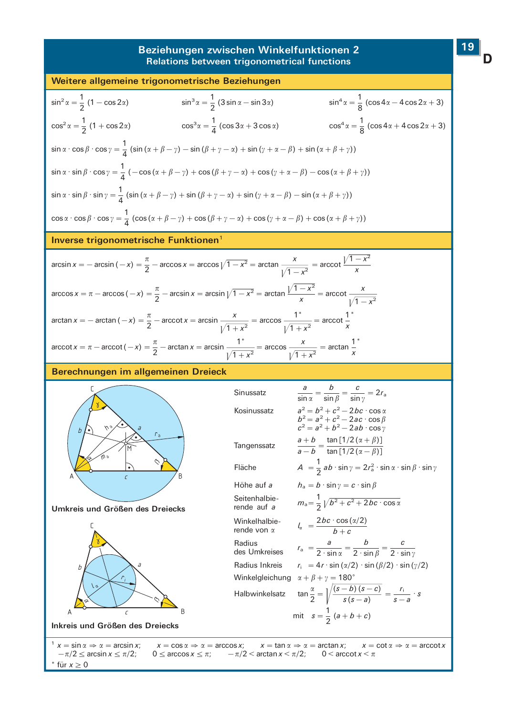#### Beziehungen zwischen Winkelfunktionen 2 Relations between trigonometrical functions



für  $x \geq 0$ 

19

D